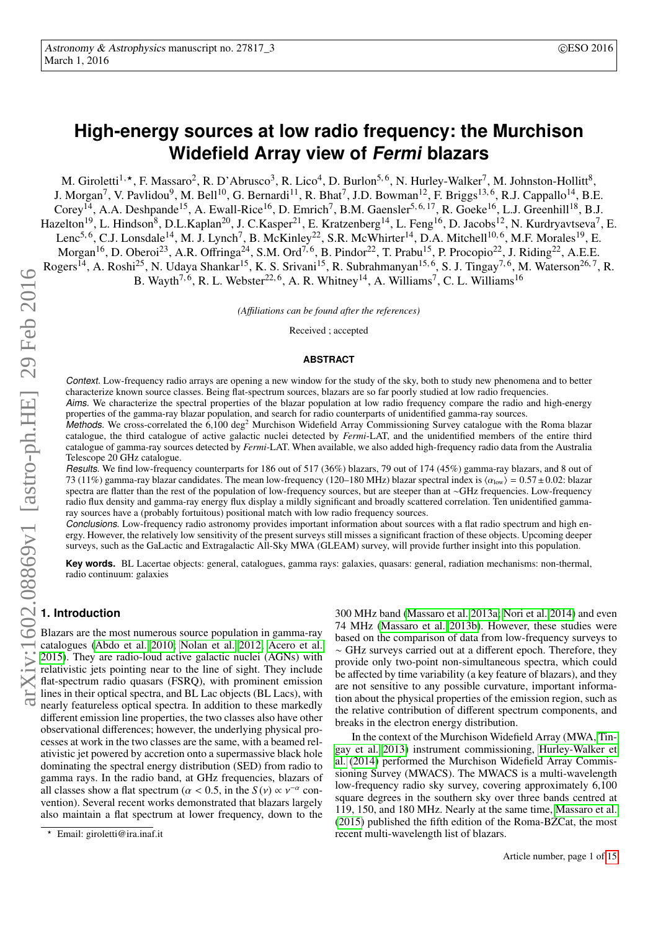# <span id="page-0-0"></span>**High-energy sources at low radio frequency: the Murchison Widefield Array view of Fermi blazars**

M. Giroletti<sup>1,</sup>\*, F. Massaro<sup>2</sup>, R. D'Abrusco<sup>3</sup>, R. Lico<sup>4</sup>, D. Burlon<sup>5,6</sup>, N. Hurley-Walker<sup>7</sup>, M. Johnston-Hollitt<sup>8</sup>, J. Morgan<sup>7</sup>, V. Pavlidou<sup>9</sup>, M. Bell<sup>10</sup>, G. Bernardi<sup>11</sup>, R. Bhat<sup>7</sup>, J.D. Bowman<sup>12</sup>, F. Briggs<sup>13,6</sup>, R.J. Cappallo<sup>14</sup>, B.E. Corey<sup>14</sup>, A.A. Deshpande<sup>15</sup>, A. Ewall-Rice<sup>16</sup>, D. Emrich<sup>7</sup>, B.M. Gaensler<sup>5,6,17</sup>, R. Goeke<sup>16</sup>, L.J. Greenhill<sup>18</sup>, B.J. Hazelton<sup>19</sup>, L. Hindson<sup>8</sup>, D.L.Kaplan<sup>20</sup>, J. C.Kasper<sup>21</sup>, E. Kratzenberg<sup>14</sup>, L. Feng<sup>16</sup>, D. Jacobs<sup>12</sup>, N. Kurdryavtseva<sup>7</sup>, E. Lenc<sup>5, 6</sup>, C.J. Lonsdale<sup>14</sup>, M. J. Lynch<sup>7</sup>, B. McKinley<sup>22</sup>, S.R. McWhirter<sup>14</sup>, D.A. Mitchell<sup>10, 6</sup>, M.F. Morales<sup>19</sup>, E. Morgan<sup>16</sup>, D. Oberoi<sup>23</sup>, A.R. Offringa<sup>24</sup>, S.M. Ord<sup>7,6</sup>, B. Pindor<sup>22</sup>, T. Prabu<sup>15</sup>, P. Procopio<sup>22</sup>, J. Riding<sup>22</sup>, A.E.E. Rogers<sup>14</sup>, A. Roshi<sup>25</sup>, N. Udaya Shankar<sup>15</sup>, K. S. Srivani<sup>15</sup>, R. Subrahmanyan<sup>15,6</sup>, S. J. Tingay<sup>7,6</sup>, M. Waterson<sup>26,7</sup>, R. B. Wayth<sup>7, 6</sup>, R. L. Webster<sup>22, 6</sup>, A. R. Whitney<sup>14</sup>, A. Williams<sup>7</sup>, C. L. Williams<sup>16</sup>

*(A*ffi*liations can be found after the references)*

Received ; accepted

#### **ABSTRACT**

Context. Low-frequency radio arrays are opening a new window for the study of the sky, both to study new phenomena and to better characterize known source classes. Being flat-spectrum sources, blazars are so far poorly studied at low radio frequencies.

Aims. We characterize the spectral properties of the blazar population at low radio frequency compare the radio and high-energy properties of the gamma-ray blazar population, and search for radio counterparts of unidentified gamma-ray sources.

Methods. We cross-correlated the  $6,100 \text{ deg}^2$  Murchison Widefield Array Commissioning Survey catalogue with the Roma blazar catalogue, the third catalogue of active galactic nuclei detected by *Fermi*-LAT, and the unidentified members of the entire third catalogue of gamma-ray sources detected by *Fermi*-LAT. When available, we also added high-frequency radio data from the Australia Telescope 20 GHz catalogue.

Results. We find low-frequency counterparts for 186 out of 517 (36%) blazars, 79 out of 174 (45%) gamma-ray blazars, and 8 out of 73 (11%) gamma-ray blazar candidates. The mean low-frequency (120–180 MHz) blazar spectral index is  $\langle \alpha_{\text{low}} \rangle = 0.57 \pm 0.02$ : blazar spectra are flatter than the rest of the population of low-frequency sources, but are steeper than at ∼GHz frequencies. Low-frequency radio flux density and gamma-ray energy flux display a mildly significant and broadly scattered correlation. Ten unidentified gammaray sources have a (probably fortuitous) positional match with low radio frequency sources.

Conclusions. Low-frequency radio astronomy provides important information about sources with a flat radio spectrum and high energy. However, the relatively low sensitivity of the present surveys still misses a significant fraction of these objects. Upcoming deeper surveys, such as the GaLactic and Extragalactic All-Sky MWA (GLEAM) survey, will provide further insight into this population.

**Key words.** BL Lacertae objects: general, catalogues, gamma rays: galaxies, quasars: general, radiation mechanisms: non-thermal, radio continuum: galaxies

## **1. Introduction**

Blazars are the most numerous source population in gamma-ray catalogues [\(Abdo et al. 2010;](#page-7-0) [Nolan et al. 2012;](#page-8-0) [Acero et al.](#page-7-1) [2015\)](#page-7-1). They are radio-loud active galactic nuclei (AGNs) with relativistic jets pointing near to the line of sight. They include flat-spectrum radio quasars (FSRQ), with prominent emission lines in their optical spectra, and BL Lac objects (BL Lacs), with nearly featureless optical spectra. In addition to these markedly different emission line properties, the two classes also have other observational differences; however, the underlying physical processes at work in the two classes are the same, with a beamed relativistic jet powered by accretion onto a supermassive black hole dominating the spectral energy distribution (SED) from radio to gamma rays. In the radio band, at GHz frequencies, blazars of all classes show a flat spectrum ( $\alpha < 0.5$ , in the  $S(v) \propto v^{-\alpha}$  con-<br>vention). Several recent works demonstrated that blazars largely vention). Several recent works demonstrated that blazars largely also maintain a flat spectrum at lower frequency, down to the

300 MHz band [\(Massaro et al. 2013a;](#page-8-1) [Nori et al. 2014\)](#page-8-2) and even 74 MHz [\(Massaro et al. 2013b\)](#page-8-3). However, these studies were based on the comparison of data from low-frequency surveys to ∼ GHz surveys carried out at a different epoch. Therefore, they provide only two-point non-simultaneous spectra, which could be affected by time variability (a key feature of blazars), and they are not sensitive to any possible curvature, important information about the physical properties of the emission region, such as the relative contribution of different spectrum components, and breaks in the electron energy distribution.

In the context of the Murchison Widefield Array (MWA, [Tin](#page-8-4)[gay et al. 2013\)](#page-8-4) instrument commissioning, [Hurley-Walker et](#page-8-5) [al.](#page-8-5) [\(2014\)](#page-8-5) performed the Murchison Widefield Array Commissioning Survey (MWACS). The MWACS is a multi-wavelength low-frequency radio sky survey, covering approximately 6,100 square degrees in the southern sky over three bands centred at 119, 150, and 180 MHz. Nearly at the same time, [Massaro et al.](#page-8-6) [\(2015\)](#page-8-6) published the fifth edition of the Roma-BZCat, the most recent multi-wavelength list of blazars.

<sup>?</sup> Email: giroletti@ira.inaf.it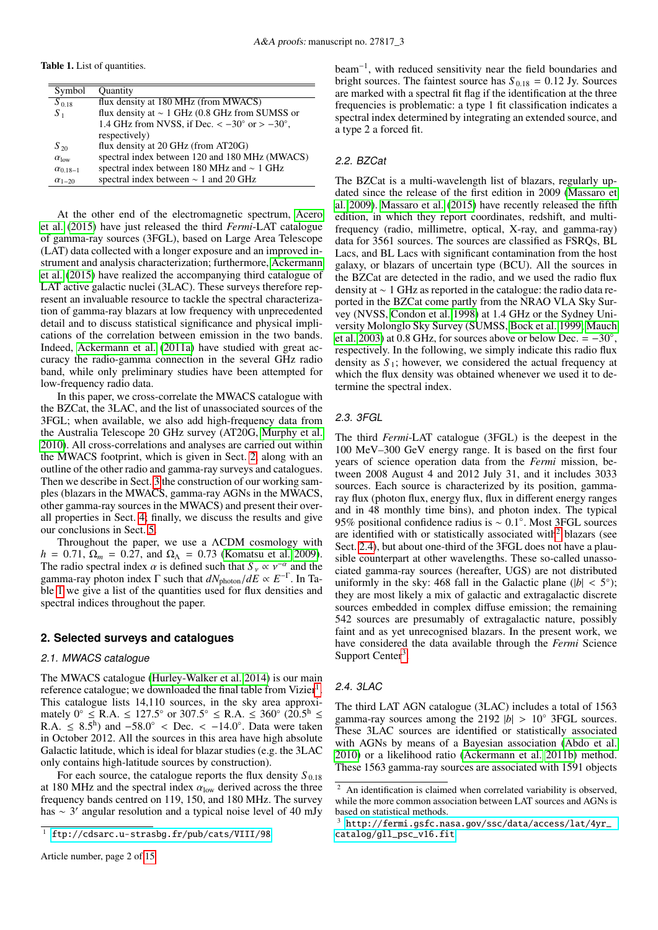Table 1. List of quantities.

<span id="page-1-1"></span>

| Symbol                | <b>Ouantity</b>                                                        |
|-----------------------|------------------------------------------------------------------------|
| $S_{0.18}$            | flux density at 180 MHz (from MWACS)                                   |
| $S_1$                 | flux density at $\sim 1$ GHz (0.8 GHz from SUMSS or                    |
|                       | 1.4 GHz from NVSS, if Dec. $\langle -30^\circ \text{ or } -30^\circ$ , |
|                       | respectively)                                                          |
| $S_{20}$              | flux density at 20 GHz (from AT20G)                                    |
| $\alpha_{\text{low}}$ | spectral index between 120 and 180 MHz (MWACS)                         |
| $\alpha_{0.18-1}$     | spectral index between 180 MHz and $\sim$ 1 GHz                        |
| $\alpha_{1-20}$       | spectral index between $\sim 1$ and 20 GHz                             |

At the other end of the electromagnetic spectrum, [Acero](#page-7-1) [et al.](#page-7-1) [\(2015\)](#page-7-1) have just released the third *Fermi*-LAT catalogue of gamma-ray sources (3FGL), based on Large Area Telescope (LAT) data collected with a longer exposure and an improved instrument and analysis characterization; furthermore, [Ackermann](#page-7-2) [et al.](#page-7-2) [\(2015\)](#page-7-2) have realized the accompanying third catalogue of LAT active galactic nuclei (3LAC). These surveys therefore represent an invaluable resource to tackle the spectral characterization of gamma-ray blazars at low frequency with unprecedented detail and to discuss statistical significance and physical implications of the correlation between emission in the two bands. Indeed, [Ackermann et al.](#page-7-3) [\(2011a\)](#page-7-3) have studied with great accuracy the radio-gamma connection in the several GHz radio band, while only preliminary studies have been attempted for low-frequency radio data.

In this paper, we cross-correlate the MWACS catalogue with the BZCat, the 3LAC, and the list of unassociated sources of the 3FGL; when available, we also add high-frequency data from the Australia Telescope 20 GHz survey (AT20G, [Murphy et al.](#page-8-7) [2010\)](#page-8-7). All cross-correlations and analyses are carried out within the MWACS footprint, which is given in Sect. [2,](#page-1-0) along with an outline of the other radio and gamma-ray surveys and catalogues. Then we describe in Sect. [3](#page-2-0) the construction of our working samples (blazars in the MWACS, gamma-ray AGNs in the MWACS, other gamma-ray sources in the MWACS) and present their overall properties in Sect. [4;](#page-3-0) finally, we discuss the results and give our conclusions in Sect. [5.](#page-6-0)

Throughout the paper, we use a ΛCDM cosmology with *h* = 0.71,  $\Omega_m$  = 0.27, and  $\Omega_{\Lambda}$  = 0.73 [\(Komatsu et al. 2009\)](#page-8-8). The radio spectral index  $\alpha$  is defined such that  $S_{\nu} \propto \nu^{-\alpha}$  and the samma-ray photon index  $\Gamma$  such that  $dN_{\text{other}}/dE \propto E^{-\Gamma}$  In Tagamma-ray photon index Γ such that  $dN_{photon}/dE \propto E^{-\Gamma}$ . In Ta-<br>ble 1 we give a list of the quantities used for flux densities and ble [1](#page-1-1) we give a list of the quantities used for flux densities and spectral indices throughout the paper.

# <span id="page-1-0"></span>**2. Selected surveys and catalogues**

# 2.1. MWACS catalogue

The MWACS catalogue [\(Hurley-Walker et al. 2014\)](#page-8-5) is our main reference catalogue; we downloaded the final table from Vizier $^1$  $^1$ . This catalogue lists 14,110 sources, in the sky area approximately 0° ≤ R.A. ≤ 127.5° or 307.5° ≤ R.A. ≤ 360° (20.5<sup>h</sup> ≤ R.A. ≤ 8.5<sup>h</sup>) and -58.0° < Dec < -14.0° Data were taken R.A.  $\leq 8.5^{\text{h}}$  and  $-58.0^{\circ} < \text{Dec.} < -14.0^{\circ}$ . Data were taken<br>in October 2012, All the sources in this area have high absolute in October 2012. All the sources in this area have high absolute Galactic latitude, which is ideal for blazar studies (e.g. the 3LAC only contains high-latitude sources by construction).

For each source, the catalogue reports the flux density  $S_{0.18}$ at 180 MHz and the spectral index  $\alpha_{\text{low}}$  derived across the three frequency bands centred on 119, 150, and 180 MHz. The survey has ~ 3' angular resolution and a typical noise level of 40 mJy

beam−<sup>1</sup> , with reduced sensitivity near the field boundaries and bright sources. The faintest source has  $S_{0.18} = 0.12$  Jy. Sources are marked with a spectral fit flag if the identification at the three frequencies is problematic: a type 1 fit classification indicates a spectral index determined by integrating an extended source, and a type 2 a forced fit.

# 2.2. BZCat

The BZCat is a multi-wavelength list of blazars, regularly updated since the release of the first edition in 2009 [\(Massaro et](#page-8-9) [al. 2009\)](#page-8-9). [Massaro et al.](#page-8-6) [\(2015\)](#page-8-6) have recently released the fifth edition, in which they report coordinates, redshift, and multifrequency (radio, millimetre, optical, X-ray, and gamma-ray) data for 3561 sources. The sources are classified as FSRQs, BL Lacs, and BL Lacs with significant contamination from the host galaxy, or blazars of uncertain type (BCU). All the sources in the BZCat are detected in the radio, and we used the radio flux density at ∼ 1 GHz as reported in the catalogue: the radio data reported in the BZCat come partly from the NRAO VLA Sky Survey (NVSS, [Condon et al. 1998\)](#page-7-4) at 1.4 GHz or the Sydney University Molonglo Sky Survey (SUMSS, [Bock et al. 1999;](#page-7-5) [Mauch](#page-8-10) [et al. 2003\)](#page-8-10) at 0.8 GHz, for sources above or below Dec. =  $-30^{\circ}$ , respectively In the following we simply indicate this radio flux respectively. In the following, we simply indicate this radio flux density as *S* <sup>1</sup>; however, we considered the actual frequency at which the flux density was obtained whenever we used it to determine the spectral index.

## 2.3. 3FGL

The third *Fermi*-LAT catalogue (3FGL) is the deepest in the 100 MeV–300 GeV energy range. It is based on the first four years of science operation data from the *Fermi* mission, between 2008 August 4 and 2012 July 31, and it includes 3033 sources. Each source is characterized by its position, gammaray flux (photon flux, energy flux, flux in different energy ranges and in 48 monthly time bins), and photon index. The typical 95% positional confidence radius is ~ 0.1°. Most 3FGL sources ore identified with or statistically associated with<sup>2</sup> blazars (see are identified with or statistically associated with<sup>[2](#page-1-3)</sup> blazars (see Sect. [2.4\)](#page-1-4), but about one-third of the 3FGL does not have a plausible counterpart at other wavelengths. These so-called unassociated gamma-ray sources (hereafter, UGS) are not distributed uniformly in the sky: 468 fall in the Galactic plane  $(|b| < 5^{\circ})$ ;<br>they are most likely a mix of galactic and extragalactic discrete they are most likely a mix of galactic and extragalactic discrete sources embedded in complex diffuse emission; the remaining 542 sources are presumably of extragalactic nature, possibly faint and as yet unrecognised blazars. In the present work, we have considered the data available through the *Fermi* Science Support Center<sup>[3](#page-1-5)</sup>.

## <span id="page-1-4"></span>2.4. 3LAC

The third LAT AGN catalogue (3LAC) includes a total of 1563 gamma-ray sources among the 2192  $|b| > 10°$  3FGL sources. These 3LAC sources are identified or statistically associated with AGNs by means of a Bayesian association [\(Abdo et al.](#page-7-0) [2010\)](#page-7-0) or a likelihood ratio [\(Ackermann et al. 2011b\)](#page-7-6) method. These 1563 gamma-ray sources are associated with 1591 objects

<span id="page-1-2"></span><sup>1</sup> <ftp://cdsarc.u-strasbg.fr/pub/cats/VIII/98>

<span id="page-1-3"></span><sup>&</sup>lt;sup>2</sup> An identification is claimed when correlated variability is observed, while the more common association between LAT sources and AGNs is based on statistical methods.

<span id="page-1-5"></span><sup>3</sup> [http://fermi.gsfc.nasa.gov/ssc/data/access/lat/4yr\\_](http://fermi.gsfc.nasa.gov/ssc/data/access/lat/4yr_catalog/gll_psc_v16.fit) [catalog/gll\\_psc\\_v16.fit](http://fermi.gsfc.nasa.gov/ssc/data/access/lat/4yr_catalog/gll_psc_v16.fit)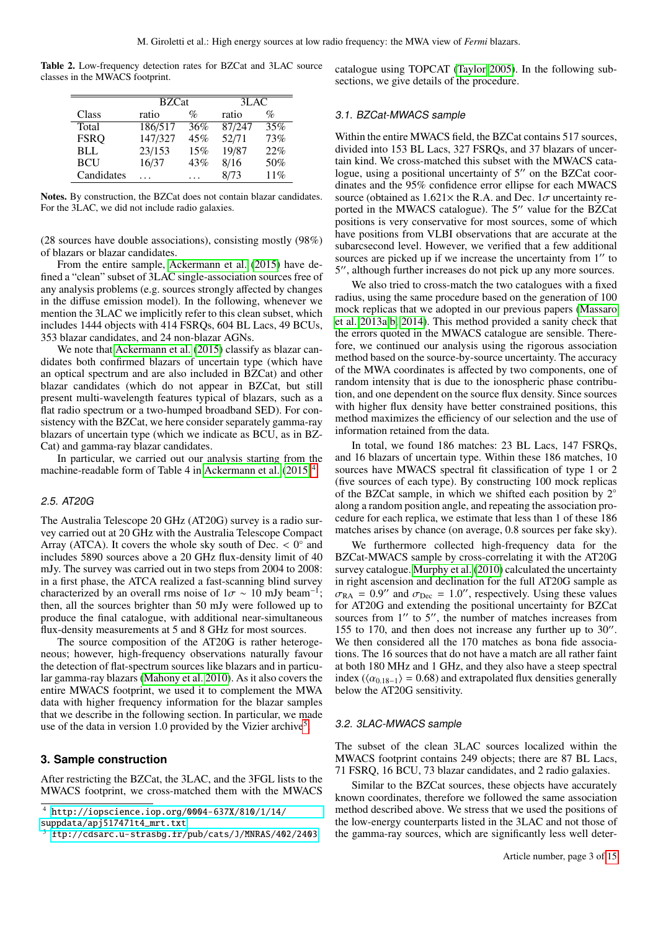Table 2. Low-frequency detection rates for BZCat and 3LAC source classes in the MWACS footprint.

<span id="page-2-4"></span>

|             | <b>BZCat</b> |      | 3LAC   |      |  |  |
|-------------|--------------|------|--------|------|--|--|
| Class       | ratio        | $\%$ | ratio  | $\%$ |  |  |
| Total       | 186/517      | 36%  | 87/247 | 35%  |  |  |
| <b>FSRQ</b> | 147/327      | 45%  | 52/71  | 73%  |  |  |
| BLL         | 23/153       | 15%  | 19/87  | 22%  |  |  |
| <b>BCU</b>  | 16/37        | 43%  | 8/16   | 50%  |  |  |
| Candidates  |              |      | 8/73   | 11%  |  |  |

Notes. By construction, the BZCat does not contain blazar candidates. For the 3LAC, we did not include radio galaxies.

(28 sources have double associations), consisting mostly (98%) of blazars or blazar candidates.

From the entire sample, [Ackermann et al.](#page-7-2) [\(2015\)](#page-7-2) have defined a "clean" subset of 3LAC single-association sources free of any analysis problems (e.g. sources strongly affected by changes in the diffuse emission model). In the following, whenever we mention the 3LAC we implicitly refer to this clean subset, which includes 1444 objects with 414 FSRQs, 604 BL Lacs, 49 BCUs, 353 blazar candidates, and 24 non-blazar AGNs.

We note that [Ackermann et al.](#page-7-2) [\(2015\)](#page-7-2) classify as blazar candidates both confirmed blazars of uncertain type (which have an optical spectrum and are also included in BZCat) and other blazar candidates (which do not appear in BZCat, but still present multi-wavelength features typical of blazars, such as a flat radio spectrum or a two-humped broadband SED). For consistency with the BZCat, we here consider separately gamma-ray blazars of uncertain type (which we indicate as BCU, as in BZ-Cat) and gamma-ray blazar candidates.

In particular, we carried out our analysis starting from the machine-readable form of Table 4 in [Ackermann et al.](#page-7-2)  $(2015)^4$  $(2015)^4$  $(2015)^4$ .

### 2.5. AT20G

The Australia Telescope 20 GHz (AT20G) survey is a radio survey carried out at 20 GHz with the Australia Telescope Compact Array (ATCA). It covers the whole sky south of Dec.  $\lt 0^{\circ}$  and includes 5890 sources above a 20 GHz flux-density limit of 40 includes 5890 sources above a 20 GHz flux-density limit of 40 mJy. The survey was carried out in two steps from 2004 to 2008: in a first phase, the ATCA realized a fast-scanning blind survey characterized by an overall rms noise of  $1\sigma \sim 10 \text{ mJy beam}^{-1}$ ;<br>then all the sources brighter than 50 mJy were followed up to then, all the sources brighter than 50 mJy were followed up to produce the final catalogue, with additional near-simultaneous flux-density measurements at 5 and 8 GHz for most sources.

The source composition of the AT20G is rather heterogeneous; however, high-frequency observations naturally favour the detection of flat-spectrum sources like blazars and in particular gamma-ray blazars [\(Mahony et al. 2010\)](#page-8-11). As it also covers the entire MWACS footprint, we used it to complement the MWA data with higher frequency information for the blazar samples that we describe in the following section. In particular, we made use of the data in version 1.0 provided by the Vizier archive<sup>[5](#page-2-2)</sup>.

# <span id="page-2-0"></span>**3. Sample construction**

After restricting the BZCat, the 3LAC, and the 3FGL lists to the MWACS footprint, we cross-matched them with the MWACS catalogue using TOPCAT [\(Taylor 2005\)](#page-8-12). In the following subsections, we give details of the procedure.

## <span id="page-2-3"></span>3.1. BZCat-MWACS sample

Within the entire MWACS field, the BZCat contains 517 sources, divided into 153 BL Lacs, 327 FSRQs, and 37 blazars of uncertain kind. We cross-matched this subset with the MWACS catalogue, using a positional uncertainty of 5" on the BZCat coordinates and the 95% confidence error ellipse for each MWACS source (obtained as  $1.621 \times$  the R.A. and Dec.  $1\sigma$  uncertainty reported in the MWACS catalogue). The 5" value for the BZCat positions is very conservative for most sources, some of which have positions from VLBI observations that are accurate at the subarcsecond level. However, we verified that a few additional sources are picked up if we increase the uncertainty from  $1''$  to 5", although further increases do not pick up any more sources.

We also tried to cross-match the two catalogues with a fixed radius, using the same procedure based on the generation of 100 mock replicas that we adopted in our previous papers [\(Massaro](#page-8-1) [et al. 2013a](#page-8-1)[,b,](#page-8-3) [2014\)](#page-8-13). This method provided a sanity check that the errors quoted in the MWACS catalogue are sensible. Therefore, we continued our analysis using the rigorous association method based on the source-by-source uncertainty. The accuracy of the MWA coordinates is affected by two components, one of random intensity that is due to the ionospheric phase contribution, and one dependent on the source flux density. Since sources with higher flux density have better constrained positions, this method maximizes the efficiency of our selection and the use of information retained from the data.

In total, we found 186 matches: 23 BL Lacs, 147 FSRQs, and 16 blazars of uncertain type. Within these 186 matches, 10 sources have MWACS spectral fit classification of type 1 or 2 (five sources of each type). By constructing 100 mock replicas of the BZCat sample, in which we shifted each position by 2◦ along a random position angle, and repeating the association procedure for each replica, we estimate that less than 1 of these 186 matches arises by chance (on average, 0.8 sources per fake sky).

We furthermore collected high-frequency data for the BZCat-MWACS sample by cross-correlating it with the AT20G survey catalogue. [Murphy et al.](#page-8-7) [\(2010\)](#page-8-7) calculated the uncertainty in right ascension and declination for the full AT20G sample as  $\sigma_{\text{RA}} = 0.9''$  and  $\sigma_{\text{Dec}} = 1.0''$ , respectively. Using these values for AT20G and extending the positional uncertainty for BZCat for AT20G and extending the positional uncertainty for BZCat sources from  $1''$  to  $5''$ , the number of matches increases from 155 to 170, and then does not increase any further up to  $30''$ . We then considered all the 170 matches as bona fide associations. The 16 sources that do not have a match are all rather faint at both 180 MHz and 1 GHz, and they also have a steep spectral index ( $\langle \alpha_{0.18-1} \rangle$  = 0.68) and extrapolated flux densities generally below the AT20G sensitivity.

#### 3.2. 3LAC-MWACS sample

The subset of the clean 3LAC sources localized within the MWACS footprint contains 249 objects; there are 87 BL Lacs, 71 FSRQ, 16 BCU, 73 blazar candidates, and 2 radio galaxies.

Similar to the BZCat sources, these objects have accurately known coordinates, therefore we followed the same association method described above. We stress that we used the positions of the low-energy counterparts listed in the 3LAC and not those of the gamma-ray sources, which are significantly less well deter-

<span id="page-2-1"></span><sup>4</sup> [http://iopscience.iop.org/0004-637X/810/1/14/](http://iopscience.iop.org/0004-637X/810/1/14/suppdata/apj517471t4_mrt.txt)

[suppdata/apj517471t4\\_mrt.txt](http://iopscience.iop.org/0004-637X/810/1/14/suppdata/apj517471t4_mrt.txt)

<span id="page-2-2"></span><sup>5</sup> <ftp://cdsarc.u-strasbg.fr/pub/cats/J/MNRAS/402/2403>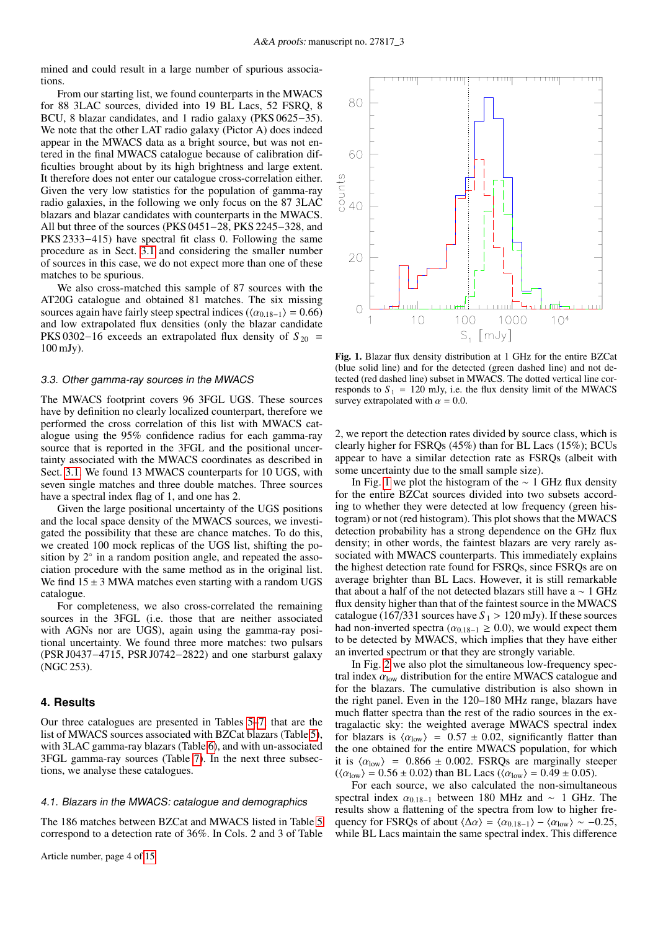mined and could result in a large number of spurious associations.

From our starting list, we found counterparts in the MWACS for 88 3LAC sources, divided into 19 BL Lacs, 52 FSRQ, 8 BCU, 8 blazar candidates, and 1 radio galaxy (PKS 0625−35). We note that the other LAT radio galaxy (Pictor A) does indeed appear in the MWACS data as a bright source, but was not entered in the final MWACS catalogue because of calibration difficulties brought about by its high brightness and large extent. It therefore does not enter our catalogue cross-correlation either. Given the very low statistics for the population of gamma-ray radio galaxies, in the following we only focus on the 87 3LAC blazars and blazar candidates with counterparts in the MWACS. All but three of the sources (PKS 0451−28, PKS 2245−328, and PKS 2333–415) have spectral fit class 0. Following the same procedure as in Sect. [3.1](#page-2-3) and considering the smaller number of sources in this case, we do not expect more than one of these matches to be spurious.

We also cross-matched this sample of 87 sources with the AT20G catalogue and obtained 81 matches. The six missing sources again have fairly steep spectral indices ( $\langle \alpha_{0.18-1} \rangle = 0.66$ ) and low extrapolated flux densities (only the blazar candidate PKS 0302−16 exceeds an extrapolated flux density of *S*<sub>20</sub> = 100 mJy).

## 3.3. Other gamma-ray sources in the MWACS

The MWACS footprint covers 96 3FGL UGS. These sources have by definition no clearly localized counterpart, therefore we performed the cross correlation of this list with MWACS catalogue using the 95% confidence radius for each gamma-ray source that is reported in the 3FGL and the positional uncertainty associated with the MWACS coordinates as described in Sect. [3.1.](#page-2-3) We found 13 MWACS counterparts for 10 UGS, with seven single matches and three double matches. Three sources have a spectral index flag of 1, and one has 2.

Given the large positional uncertainty of the UGS positions and the local space density of the MWACS sources, we investigated the possibility that these are chance matches. To do this, we created 100 mock replicas of the UGS list, shifting the position by 2° in a random position angle, and repeated the association procedure with the same method as in the original list. We find  $15 \pm 3$  MWA matches even starting with a random UGS catalogue.

For completeness, we also cross-correlated the remaining sources in the 3FGL (i.e. those that are neither associated with AGNs nor are UGS), again using the gamma-ray positional uncertainty. We found three more matches: two pulsars (PSR J0437−4715, PSR J0742−2822) and one starburst galaxy (NGC 253).

## <span id="page-3-0"></span>**4. Results**

Our three catalogues are presented in Tables [5](#page-9-0)[–7,](#page-14-0) that are the list of MWACS sources associated with BZCat blazars (Table [5\)](#page-9-0), with 3LAC gamma-ray blazars (Table [6\)](#page-12-0), and with un-associated 3FGL gamma-ray sources (Table [7\)](#page-14-0). In the next three subsections, we analyse these catalogues.

### <span id="page-3-2"></span>4.1. Blazars in the MWACS: catalogue and demographics

The 186 matches between BZCat and MWACS listed in Table [5](#page-9-0) correspond to a detection rate of 36%. In Cols. 2 and 3 of Table



<span id="page-3-1"></span>Fig. 1. Blazar flux density distribution at 1 GHz for the entire BZCat (blue solid line) and for the detected (green dashed line) and not detected (red dashed line) subset in MWACS. The dotted vertical line corresponds to  $S_1 = 120$  mJy, i.e. the flux density limit of the MWACS survey extrapolated with  $\alpha = 0.0$ .

2, we report the detection rates divided by source class, which is clearly higher for FSRQs (45%) than for BL Lacs (15%); BCUs appear to have a similar detection rate as FSRQs (albeit with some uncertainty due to the small sample size).

In Fig. [1](#page-3-1) we plot the histogram of the ∼ 1 GHz flux density for the entire BZCat sources divided into two subsets according to whether they were detected at low frequency (green histogram) or not (red histogram). This plot shows that the MWACS detection probability has a strong dependence on the GHz flux density; in other words, the faintest blazars are very rarely associated with MWACS counterparts. This immediately explains the highest detection rate found for FSRQs, since FSRQs are on average brighter than BL Lacs. However, it is still remarkable that about a half of the not detected blazars still have a ∼ 1 GHz flux density higher than that of the faintest source in the MWACS catalogue (167/331 sources have  $S_1 > 120$  mJy). If these sources had non-inverted spectra ( $\alpha_{0.18-1} \ge 0.0$ ), we would expect them to be detected by MWACS, which implies that they have either an inverted spectrum or that they are strongly variable.

In Fig. [2](#page-4-0) we also plot the simultaneous low-frequency spectral index  $\alpha_{\text{low}}$  distribution for the entire MWACS catalogue and for the blazars. The cumulative distribution is also shown in the right panel. Even in the 120–180 MHz range, blazars have much flatter spectra than the rest of the radio sources in the extragalactic sky: the weighted average MWACS spectral index for blazars is  $\langle \alpha_{\text{low}} \rangle$  = 0.57 ± 0.02, significantly flatter than the one obtained for the entire MWACS population, for which it is  $\langle \alpha_{\text{low}} \rangle$  = 0.866 ± 0.002. FSRQs are marginally steeper  $(\langle \alpha_{\text{low}} \rangle = 0.56 \pm 0.02)$  than BL Lacs  $(\langle \alpha_{\text{low}} \rangle = 0.49 \pm 0.05)$ .

For each source, we also calculated the non-simultaneous spectral index  $\alpha_{0.18-1}$  between 180 MHz and ~ 1 GHz. The results show a flattening of the spectra from low to higher frequency for FSRQs of about  $\langle \Delta \alpha \rangle = \langle \alpha_{0.18-1} \rangle - \langle \alpha_{\text{low}} \rangle \sim -0.25$ , while BL Lacs maintain the same spectral index. This difference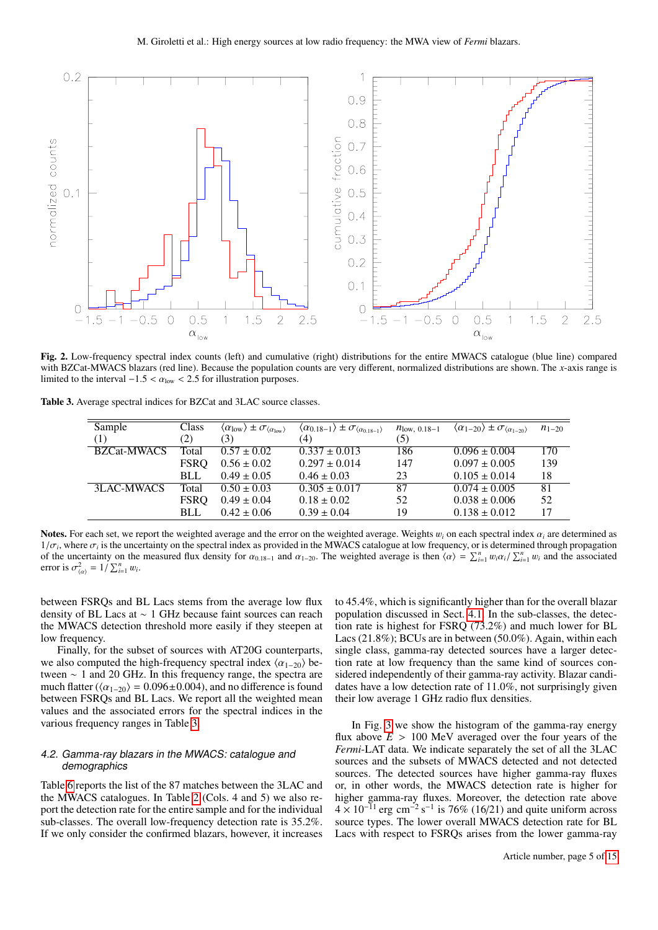

<span id="page-4-0"></span>Fig. 2. Low-frequency spectral index counts (left) and cumulative (right) distributions for the entire MWACS catalogue (blue line) compared with BZCat-MWACS blazars (red line). Because the population counts are very different, normalized distributions are shown. The *x*-axis range is limited to the interval  $-1.5 < \alpha_{\text{low}} < 2.5$  for illustration purposes.

Table 3. Average spectral indices for BZCat and 3LAC source classes.

<span id="page-4-1"></span>

| Sample             | Class       | $\langle \alpha_{\text{low}} \rangle \pm \sigma_{\langle \alpha_{\text{low}} \rangle}$ | $\langle \alpha_{0.18-1} \rangle \pm \sigma_{\langle \alpha_{0.18-1} \rangle}$ | $n_{\text{low}}$ , 0.18–1 | $\langle \alpha_{1-20} \rangle \pm \sigma_{\langle \alpha_{1-20} \rangle}$ | $n_{1-20}$ |
|--------------------|-------------|----------------------------------------------------------------------------------------|--------------------------------------------------------------------------------|---------------------------|----------------------------------------------------------------------------|------------|
| (1)                | (2)         | (3)                                                                                    | (4)                                                                            | (5)                       |                                                                            |            |
| <b>BZCat-MWACS</b> | Total       | $0.57 \pm 0.02$                                                                        | $0.337 \pm 0.013$                                                              | 186                       | $0.096 \pm 0.004$                                                          | 170        |
|                    | <b>FSRO</b> | $0.56 \pm 0.02$                                                                        | $0.297 \pm 0.014$                                                              | 147                       | $0.097 \pm 0.005$                                                          | 139        |
|                    | <b>BLL</b>  | $0.49 \pm 0.05$                                                                        | $0.46 \pm 0.03$                                                                | 23                        | $0.105 \pm 0.014$                                                          | 18         |
| 3LAC-MWACS         | Total       | $0.50 + 0.03$                                                                          | $0.305 \pm 0.017$                                                              | 87                        | $0.074 \pm 0.005$                                                          | 81         |
|                    | <b>FSRO</b> | $0.49 \pm 0.04$                                                                        | $0.18 \pm 0.02$                                                                | 52                        | $0.038 \pm 0.006$                                                          | 52         |
|                    | BLL         | $0.42 \pm 0.06$                                                                        | $0.39 \pm 0.04$                                                                | 19                        | $0.138 \pm 0.012$                                                          | 17         |
|                    |             |                                                                                        |                                                                                |                           |                                                                            |            |

Notes. For each set, we report the weighted average and the error on the weighted average. Weights  $w_i$  on each spectral index  $\alpha_i$  are determined as  $1/\sigma_i$ , where  $\sigma_i$  is the uncertainty on the spectral index as provided in the MWACS catalogue at low frequency, or is determined through propagation<br>of the uncertainty on the measured flux density for  $\sigma_{0.18,1}$  and of the uncertainty on the measured flux density for  $\alpha_{0.18-1}$  and  $\alpha_{1-20}$ . The weighted average is then  $\langle \alpha \rangle = \sum_{i=1}^{n} w_i \alpha_i / \sum_{i=1}^{n} w_i$  and the associated error is  $\sigma^2 = 1/\sum_{i=1}^{n} w_i$ error is  $\sigma_{\langle \alpha \rangle}^2 = 1/\sum_{i=1}^n w_i$ .

between FSRQs and BL Lacs stems from the average low flux density of BL Lacs at ∼ 1 GHz because faint sources can reach the MWACS detection threshold more easily if they steepen at low frequency.

Finally, for the subset of sources with AT20G counterparts, we also computed the high-frequency spectral index  $\langle \alpha_{1-20} \rangle$  between ∼ 1 and 20 GHz. In this frequency range, the spectra are much flatter ( $\langle \alpha_{1-20} \rangle$  = 0.096±0.004), and no difference is found between FSRQs and BL Lacs. We report all the weighted mean values and the associated errors for the spectral indices in the various frequency ranges in Table [3.](#page-4-1)

## 4.2. Gamma-ray blazars in the MWACS: catalogue and demographics

Table [6](#page-12-0) reports the list of the 87 matches between the 3LAC and the MWACS catalogues. In Table [2](#page-2-4) (Cols. 4 and 5) we also report the detection rate for the entire sample and for the individual sub-classes. The overall low-frequency detection rate is 35.2%. If we only consider the confirmed blazars, however, it increases

to 45.4%, which is significantly higher than for the overall blazar population discussed in Sect. [4.1.](#page-3-2) In the sub-classes, the detection rate is highest for FSRQ (73.2%) and much lower for BL Lacs (21.8%); BCUs are in between (50.0%). Again, within each single class, gamma-ray detected sources have a larger detection rate at low frequency than the same kind of sources considered independently of their gamma-ray activity. Blazar candidates have a low detection rate of 11.0%, not surprisingly given their low average 1 GHz radio flux densities.

In Fig. [3](#page-5-0) we show the histogram of the gamma-ray energy flux above  $E > 100$  MeV averaged over the four years of the *Fermi*-LAT data. We indicate separately the set of all the 3LAC sources and the subsets of MWACS detected and not detected sources. The detected sources have higher gamma-ray fluxes or, in other words, the MWACS detection rate is higher for higher gamma-ray fluxes. Moreover, the detection rate above  $4 \times 10^{-11}$  erg cm<sup>-2</sup> s<sup>-1</sup> is 76% (16/21) and quite uniform across source types. The lower overall MWACS detection rate for BL Lacs with respect to FSRQs arises from the lower gamma-ray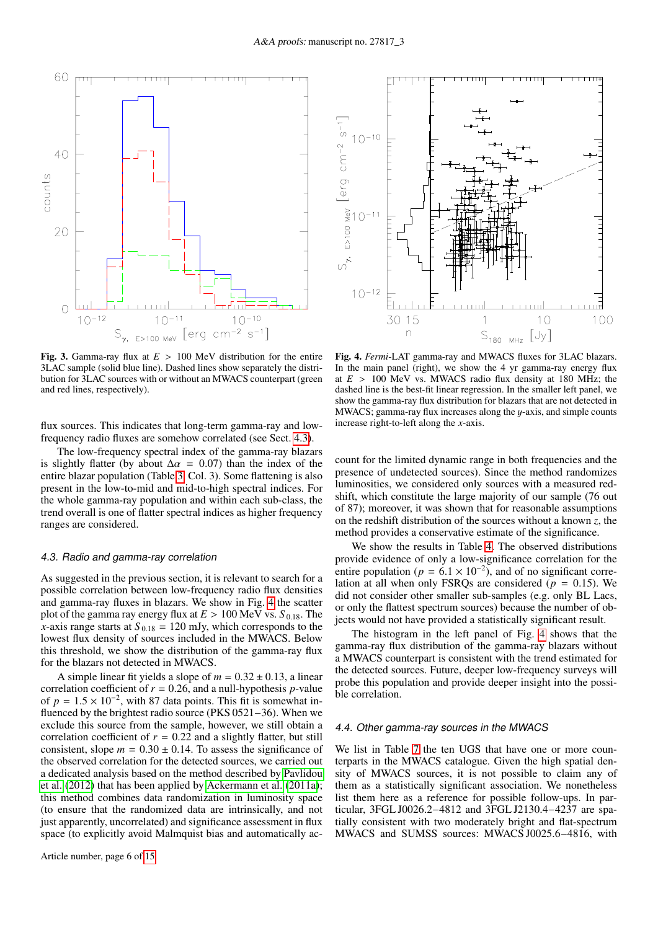

<span id="page-5-0"></span>Fig. 3. Gamma-ray flux at  $E > 100$  MeV distribution for the entire 3LAC sample (solid blue line). Dashed lines show separately the distribution for 3LAC sources with or without an MWACS counterpart (green and red lines, respectively).

flux sources. This indicates that long-term gamma-ray and lowfrequency radio fluxes are somehow correlated (see Sect. [4.3\)](#page-5-1).

The low-frequency spectral index of the gamma-ray blazars is slightly flatter (by about  $\Delta \alpha = 0.07$ ) than the index of the entire blazar population (Table [3,](#page-4-1) Col. 3). Some flattening is also present in the low-to-mid and mid-to-high spectral indices. For the whole gamma-ray population and within each sub-class, the trend overall is one of flatter spectral indices as higher frequency ranges are considered.

## <span id="page-5-1"></span>4.3. Radio and gamma-ray correlation

As suggested in the previous section, it is relevant to search for a possible correlation between low-frequency radio flux densities and gamma-ray fluxes in blazars. We show in Fig. [4](#page-5-2) the scatter plot of the gamma ray energy flux at  $E > 100$  MeV vs.  $S_{0.18}$ . The *x*-axis range starts at  $S_{0.18} = 120$  mJy, which corresponds to the lowest flux density of sources included in the MWACS. Below this threshold, we show the distribution of the gamma-ray flux for the blazars not detected in MWACS.

A simple linear fit yields a slope of  $m = 0.32 \pm 0.13$ , a linear correlation coefficient of  $r = 0.26$ , and a null-hypothesis *p*-value of  $p = 1.5 \times 10^{-2}$ , with 87 data points. This fit is somewhat in-<br>fluenced by the brightest radio source (PKS 0521–36). When we fluenced by the brightest radio source (PKS 0521−36). When we exclude this source from the sample, however, we still obtain a correlation coefficient of  $r = 0.22$  and a slightly flatter, but still consistent, slope  $m = 0.30 \pm 0.14$ . To assess the significance of the observed correlation for the detected sources, we carried out a dedicated analysis based on the method described by [Pavlidou](#page-8-14) [et al.](#page-8-14) [\(2012\)](#page-8-14) that has been applied by [Ackermann et al.](#page-7-3) [\(2011a\)](#page-7-3); this method combines data randomization in luminosity space (to ensure that the randomized data are intrinsically, and not just apparently, uncorrelated) and significance assessment in flux space (to explicitly avoid Malmquist bias and automatically ac-



<span id="page-5-2"></span>Fig. 4. *Fermi*-LAT gamma-ray and MWACS fluxes for 3LAC blazars. In the main panel (right), we show the 4 yr gamma-ray energy flux at  $E > 100$  MeV vs. MWACS radio flux density at 180 MHz; the dashed line is the best-fit linear regression. In the smaller left panel, we show the gamma-ray flux distribution for blazars that are not detected in MWACS; gamma-ray flux increases along the y-axis, and simple counts increase right-to-left along the *x*-axis.

count for the limited dynamic range in both frequencies and the presence of undetected sources). Since the method randomizes luminosities, we considered only sources with a measured redshift, which constitute the large majority of our sample (76 out of 87); moreover, it was shown that for reasonable assumptions on the redshift distribution of the sources without a known *<sup>z</sup>*, the method provides a conservative estimate of the significance.

We show the results in Table [4.](#page-6-1) The observed distributions provide evidence of only a low-significance correlation for the entire population ( $p = 6.1 \times 10^{-2}$ ), and of no significant correlation at all when only ESROs are considered ( $p = 0.15$ ). We lation at all when only FSRQs are considered ( $p = 0.15$ ). We did not consider other smaller sub-samples (e.g. only BL Lacs, or only the flattest spectrum sources) because the number of objects would not have provided a statistically significant result.

The histogram in the left panel of Fig. [4](#page-5-2) shows that the gamma-ray flux distribution of the gamma-ray blazars without a MWACS counterpart is consistent with the trend estimated for the detected sources. Future, deeper low-frequency surveys will probe this population and provide deeper insight into the possible correlation.

#### 4.4. Other gamma-ray sources in the MWACS

We list in Table [7](#page-14-0) the ten UGS that have one or more counterparts in the MWACS catalogue. Given the high spatial density of MWACS sources, it is not possible to claim any of them as a statistically significant association. We nonetheless list them here as a reference for possible follow-ups. In particular, 3FGL J0026.2−4812 and 3FGL J2130.4−4237 are spatially consistent with two moderately bright and flat-spectrum MWACS and SUMSS sources: MWACS J0025.6−4816, with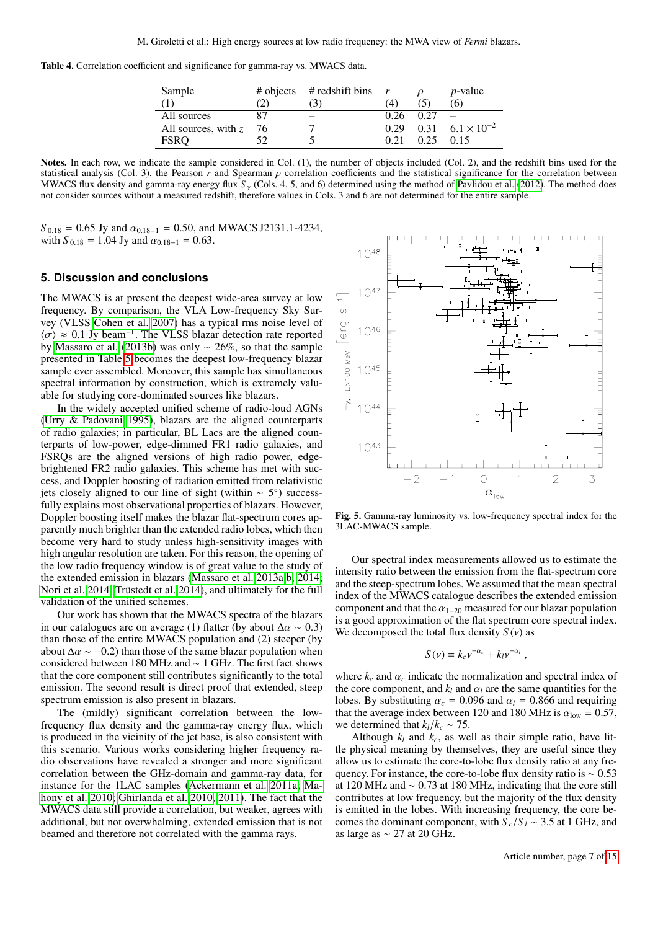<span id="page-6-1"></span>Table 4. Correlation coefficient and significance for gamma-ray vs. MWACS data.

| Sample                   | $\#$ objects $\#$ redshift bins | $\mathbf{r}$      |                   | <i>p</i> -value                    |
|--------------------------|---------------------------------|-------------------|-------------------|------------------------------------|
| (1)                      |                                 | 4)                | (5)               | (6)                                |
| All sources              |                                 | $0.26 \quad 0.27$ |                   |                                    |
| All sources, with $z$ 76 |                                 |                   |                   | $0.29$ $0.31$ $6.1 \times 10^{-2}$ |
| <b>FSRO</b>              |                                 | 0.21              | $0.25 \quad 0.15$ |                                    |

Notes. In each row, we indicate the sample considered in Col. (1), the number of objects included (Col. 2), and the redshift bins used for the statistical analysis (Col. 3), the Pearson  $r$  and Spearman  $\rho$  correlation coefficients and the statistical significance for the correlation between MWACS flux density and gamma-ray energy flux *<sup>S</sup>* γ (Cols. 4, 5, and 6) determined using the method of [Pavlidou et al.](#page-8-14) [\(2012\)](#page-8-14). The method does not consider sources without a measured redshift, therefore values in Cols. 3 and 6 are not determined for the entire sample.

 $S_{0.18} = 0.65$  Jy and  $\alpha_{0.18-1} = 0.50$ , and MWACS J2131.1-4234, with  $S_{0.18} = 1.04$  Jy and  $\alpha_{0.18-1} = 0.63$ .

# <span id="page-6-0"></span>**5. Discussion and conclusions**

The MWACS is at present the deepest wide-area survey at low frequency. By comparison, the VLA Low-frequency Sky Survey (VLSS [Cohen et al. 2007\)](#page-7-7) has a typical rms noise level of  $\langle \sigma \rangle \approx 0.1$  Jy beam<sup>-1</sup>. The VLSS blazar detection rate reported<br>by Massaro et al. (2013b) was only  $\sim 26\%$  so that the sample by [Massaro et al.](#page-8-3) [\(2013b\)](#page-8-3) was only ∼ 26%, so that the sample presented in Table [5](#page-9-0) becomes the deepest low-frequency blazar sample ever assembled. Moreover, this sample has simultaneous spectral information by construction, which is extremely valuable for studying core-dominated sources like blazars.

In the widely accepted unified scheme of radio-loud AGNs [\(Urry & Padovani 1995\)](#page-8-15), blazars are the aligned counterparts of radio galaxies; in particular, BL Lacs are the aligned counterparts of low-power, edge-dimmed FR1 radio galaxies, and FSRQs are the aligned versions of high radio power, edgebrightened FR2 radio galaxies. This scheme has met with success, and Doppler boosting of radiation emitted from relativistic jets closely aligned to our line of sight (within  $\sim$  5°) successfully explains most observational properties of blazars. However, Doppler boosting itself makes the blazar flat-spectrum cores apparently much brighter than the extended radio lobes, which then become very hard to study unless high-sensitivity images with high angular resolution are taken. For this reason, the opening of the low radio frequency window is of great value to the study of the extended emission in blazars [\(Massaro et al. 2013a,](#page-8-1)[b,](#page-8-3) [2014;](#page-8-13) [Nori et al. 2014;](#page-8-2) [Trüstedt et al. 2014\)](#page-8-16), and ultimately for the full validation of the unified schemes.

Our work has shown that the MWACS spectra of the blazars in our catalogues are on average (1) flatter (by about  $\Delta \alpha \sim 0.3$ ) than those of the entire MWACS population and (2) steeper (by about  $\Delta \alpha \sim -0.2$ ) than those of the same blazar population when considered between 180 MHz and ∼ 1 GHz. The first fact shows that the core component still contributes significantly to the total emission. The second result is direct proof that extended, steep spectrum emission is also present in blazars.

The (mildly) significant correlation between the lowfrequency flux density and the gamma-ray energy flux, which is produced in the vicinity of the jet base, is also consistent with this scenario. Various works considering higher frequency radio observations have revealed a stronger and more significant correlation between the GHz-domain and gamma-ray data, for instance for the 1LAC samples [\(Ackermann et al. 2011a;](#page-7-3) [Ma](#page-8-11)[hony et al. 2010;](#page-8-11) [Ghirlanda et al. 2010,](#page-8-17) [2011\)](#page-8-18). The fact that the MWACS data still provide a correlation, but weaker, agrees with additional, but not overwhelming, extended emission that is not beamed and therefore not correlated with the gamma rays.



<span id="page-6-2"></span>Fig. 5. Gamma-ray luminosity vs. low-frequency spectral index for the 3LAC-MWACS sample.

Our spectral index measurements allowed us to estimate the intensity ratio between the emission from the flat-spectrum core and the steep-spectrum lobes. We assumed that the mean spectral index of the MWACS catalogue describes the extended emission component and that the  $\alpha_{1-20}$  measured for our blazar population is a good approximation of the flat spectrum core spectral index. We decomposed the total flux density  $S(v)$  as

$$
S(v) = k_c v^{-\alpha_c} + k_l v^{-\alpha_l},
$$

where  $k_c$  and  $\alpha_c$  indicate the normalization and spectral index of the core component, and  $k_l$  and  $\alpha_l$  are the same quantities for the lobes. By substituting  $\alpha_c = 0.096$  and  $\alpha_l = 0.866$  and requiring that the average index between 120 and 180 MHz is  $\alpha_{\text{low}} = 0.57$ , we determined that  $k_l/k_c \sim 75$ .

Although  $k_l$  and  $k_c$ , as well as their simple ratio, have little physical meaning by themselves, they are useful since they allow us to estimate the core-to-lobe flux density ratio at any frequency. For instance, the core-to-lobe flux density ratio is  $\sim 0.53$ at 120 MHz and <sup>∼</sup> <sup>0</sup>.73 at 180 MHz, indicating that the core still contributes at low frequency, but the majority of the flux density is emitted in the lobes. With increasing frequency, the core becomes the dominant component, with  $S_c/S_l \sim 3.5$  at 1 GHz, and as large as  $\sim$  27 at 20 GHz.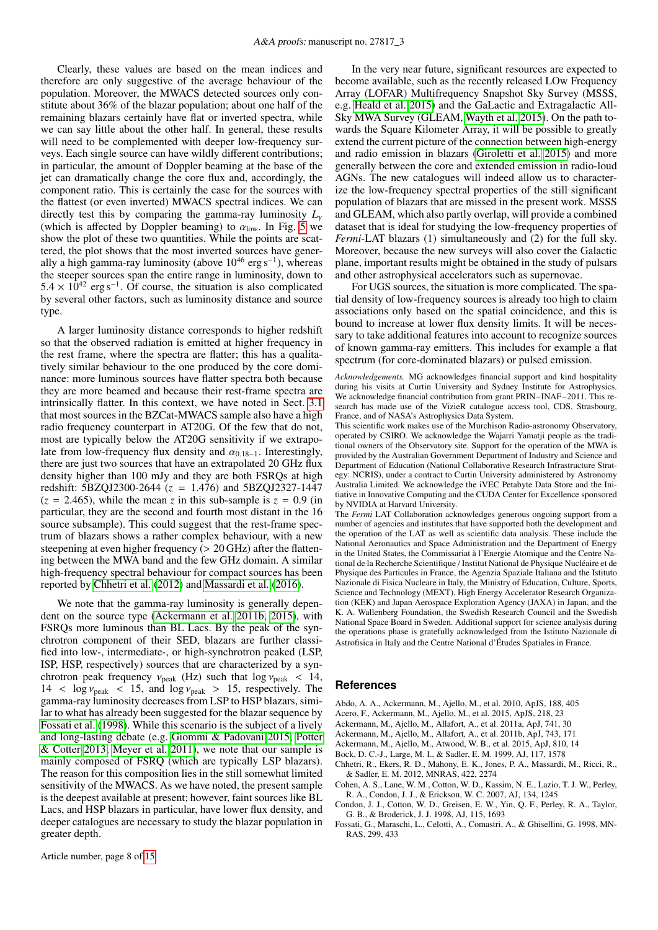Clearly, these values are based on the mean indices and therefore are only suggestive of the average behaviour of the population. Moreover, the MWACS detected sources only constitute about 36% of the blazar population; about one half of the remaining blazars certainly have flat or inverted spectra, while we can say little about the other half. In general, these results will need to be complemented with deeper low-frequency surveys. Each single source can have wildly different contributions; in particular, the amount of Doppler beaming at the base of the jet can dramatically change the core flux and, accordingly, the component ratio. This is certainly the case for the sources with the flattest (or even inverted) MWACS spectral indices. We can directly test this by comparing the gamma-ray luminosity *<sup>L</sup>*γ (which is affected by Doppler beaming) to  $\alpha_{\text{low}}$ . In Fig. [5](#page-6-2) we show the plot of these two quantities. While the points are scattered, the plot shows that the most inverted sources have generally a high gamma-ray luminosity (above  $10^{46}$  erg s<sup>-1</sup>), whereas the steeper sources span the entire range in luminosity, down to  $5.4 \times 10^{42}$  erg s<sup>-1</sup>. Of course, the situation is also complicated by several other factors, such as luminosity distance and source by several other factors, such as luminosity distance and source type.

A larger luminosity distance corresponds to higher redshift so that the observed radiation is emitted at higher frequency in the rest frame, where the spectra are flatter; this has a qualitatively similar behaviour to the one produced by the core dominance: more luminous sources have flatter spectra both because they are more beamed and because their rest-frame spectra are intrinsically flatter. In this context, we have noted in Sect. [3.1](#page-2-3) that most sources in the BZCat-MWACS sample also have a high radio frequency counterpart in AT20G. Of the few that do not, most are typically below the AT20G sensitivity if we extrapolate from low-frequency flux density and  $\alpha_{0.18-1}$ . Interestingly, there are just two sources that have an extrapolated 20 GHz flux density higher than 100 mJy and they are both FSRQs at high redshift: 5BZQJ2300-2644 (*<sup>z</sup>* <sup>=</sup> <sup>1</sup>.476) and 5BZQJ2327-1447  $(z = 2.465)$ , while the mean *z* in this sub-sample is  $z = 0.9$  (in particular, they are the second and fourth most distant in the 16 source subsample). This could suggest that the rest-frame spectrum of blazars shows a rather complex behaviour, with a new steepening at even higher frequency  $(> 20 \text{ GHz})$  after the flattening between the MWA band and the few GHz domain. A similar high-frequency spectral behaviour for compact sources has been reported by [Chhetri et al.](#page-7-8) [\(2012\)](#page-7-8) and [Massardi et al.](#page-8-19) [\(2016\)](#page-8-19).

We note that the gamma-ray luminosity is generally dependent on the source type [\(Ackermann et al. 2011b,](#page-7-6) [2015\)](#page-7-2), with FSRQs more luminous than BL Lacs. By the peak of the synchrotron component of their SED, blazars are further classified into low-, intermediate-, or high-synchrotron peaked (LSP, ISP, HSP, respectively) sources that are characterized by a synchrotron peak frequency  $v_{\text{peak}}$  (Hz) such that  $\log v_{\text{peak}} < 14$ ,  $14 < \log v_{\text{peak}} < 15$ , and  $\log v_{\text{peak}} > 15$ , respectively. The gamma-ray luminosity decreases from LSP to HSP blazars, similar to what has already been suggested for the blazar sequence by [Fossati et al.](#page-7-9) [\(1998\)](#page-7-9). While this scenario is the subject of a lively and long-lasting debate (e.g. [Giommi & Padovani 2015;](#page-8-20) [Potter](#page-8-21) [& Cotter 2013;](#page-8-21) [Meyer et al. 2011\)](#page-8-22), we note that our sample is mainly composed of FSRQ (which are typically LSP blazars). The reason for this composition lies in the still somewhat limited sensitivity of the MWACS. As we have noted, the present sample is the deepest available at present; however, faint sources like BL Lacs, and HSP blazars in particular, have lower flux density, and deeper catalogues are necessary to study the blazar population in greater depth.

Article number, page 8 of [15](#page-0-0)

In the very near future, significant resources are expected to become available, such as the recently released LOw Frequency Array (LOFAR) Multifrequency Snapshot Sky Survey (MSSS, e.g. [Heald et al. 2015\)](#page-8-23) and the GaLactic and Extragalactic All-Sky MWA Survey (GLEAM, [Wayth et al. 2015\)](#page-8-24). On the path towards the Square Kilometer Array, it will be possible to greatly extend the current picture of the connection between high-energy and radio emission in blazars [\(Giroletti et al. 2015\)](#page-8-25) and more generally between the core and extended emission in radio-loud AGNs. The new catalogues will indeed allow us to characterize the low-frequency spectral properties of the still significant population of blazars that are missed in the present work. MSSS and GLEAM, which also partly overlap, will provide a combined dataset that is ideal for studying the low-frequency properties of *Fermi*-LAT blazars (1) simultaneously and (2) for the full sky. Moreover, because the new surveys will also cover the Galactic plane, important results might be obtained in the study of pulsars and other astrophysical accelerators such as supernovae.

For UGS sources, the situation is more complicated. The spatial density of low-frequency sources is already too high to claim associations only based on the spatial coincidence, and this is bound to increase at lower flux density limits. It will be necessary to take additional features into account to recognize sources of known gamma-ray emitters. This includes for example a flat spectrum (for core-dominated blazars) or pulsed emission.

*Acknowledgements.* MG acknowledges financial support and kind hospitality during his visits at Curtin University and Sydney Institute for Astrophysics. We acknowledge financial contribution from grant PRIN−INAF−2011. This research has made use of the VizieR catalogue access tool, CDS, Strasbourg, France, and of NASA's Astrophysics Data System.

This scientific work makes use of the Murchison Radio-astronomy Observatory, operated by CSIRO. We acknowledge the Wajarri Yamatji people as the traditional owners of the Observatory site. Support for the operation of the MWA is provided by the Australian Government Department of Industry and Science and Department of Education (National Collaborative Research Infrastructure Strategy: NCRIS), under a contract to Curtin University administered by Astronomy Australia Limited. We acknowledge the iVEC Petabyte Data Store and the Initiative in Innovative Computing and the CUDA Center for Excellence sponsored by NVIDIA at Harvard University.

The *Fermi* LAT Collaboration acknowledges generous ongoing support from a number of agencies and institutes that have supported both the development and the operation of the LAT as well as scientific data analysis. These include the National Aeronautics and Space Administration and the Department of Energy in the United States, the Commissariat à l'Energie Atomique and the Centre National de la Recherche Scientifique / Institut National de Physique Nucléaire et de Physique des Particules in France, the Agenzia Spaziale Italiana and the Istituto Nazionale di Fisica Nucleare in Italy, the Ministry of Education, Culture, Sports, Science and Technology (MEXT), High Energy Accelerator Research Organization (KEK) and Japan Aerospace Exploration Agency (JAXA) in Japan, and the K. A. Wallenberg Foundation, the Swedish Research Council and the Swedish National Space Board in Sweden. Additional support for science analysis during the operations phase is gratefully acknowledged from the Istituto Nazionale di Astrofisica in Italy and the Centre National d'Études Spatiales in France.

## **References**

<span id="page-7-0"></span>Abdo, A. A., Ackermann, M., Ajello, M., et al. 2010, ApJS, 188, 405

- <span id="page-7-1"></span>Acero, F., Ackermann, M., Ajello, M., et al. 2015, ApJS, 218, 23
- <span id="page-7-3"></span>Ackermann, M., Ajello, M., Allafort, A., et al. 2011a, ApJ, 741, 30
- <span id="page-7-6"></span>Ackermann, M., Ajello, M., Allafort, A., et al. 2011b, ApJ, 743, 171
- <span id="page-7-2"></span>Ackermann, M., Ajello, M., Atwood, W. B., et al. 2015, ApJ, 810, 14
- <span id="page-7-5"></span>Bock, D. C.-J., Large, M. I., & Sadler, E. M. 1999, AJ, 117, 1578
- <span id="page-7-8"></span>Chhetri, R., Ekers, R. D., Mahony, E. K., Jones, P. A., Massardi, M., Ricci, R., & Sadler, E. M. 2012, MNRAS, 422, 2274
- <span id="page-7-7"></span>Cohen, A. S., Lane, W. M., Cotton, W. D., Kassim, N. E., Lazio, T. J. W., Perley, R. A., Condon, J. J., & Erickson, W. C. 2007, AJ, 134, 1245
- <span id="page-7-4"></span>Condon, J. J., Cotton, W. D., Greisen, E. W., Yin, Q. F., Perley, R. A., Taylor, G. B., & Broderick, J. J. 1998, AJ, 115, 1693
- <span id="page-7-9"></span>Fossati, G., Maraschi, L., Celotti, A., Comastri, A., & Ghisellini, G. 1998, MN-RAS, 299, 433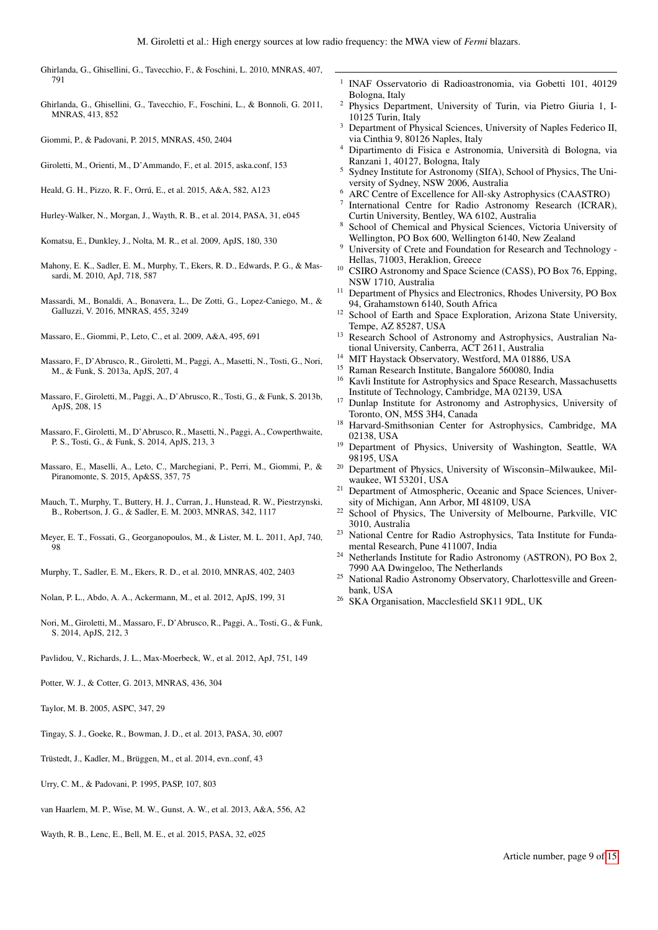- <span id="page-8-17"></span>Ghirlanda, G., Ghisellini, G., Tavecchio, F., & Foschini, L. 2010, MNRAS, 407, 791
- <span id="page-8-18"></span>Ghirlanda, G., Ghisellini, G., Tavecchio, F., Foschini, L., & Bonnoli, G. 2011, MNRAS, 413, 852
- <span id="page-8-20"></span>Giommi, P., & Padovani, P. 2015, MNRAS, 450, 2404
- <span id="page-8-25"></span>Giroletti, M., Orienti, M., D'Ammando, F., et al. 2015, aska.conf, 153
- <span id="page-8-23"></span>Heald, G. H., Pizzo, R. F., Orrú, E., et al. 2015, A&A, 582, A123
- <span id="page-8-5"></span>Hurley-Walker, N., Morgan, J., Wayth, R. B., et al. 2014, PASA, 31, e045
- <span id="page-8-8"></span>Komatsu, E., Dunkley, J., Nolta, M. R., et al. 2009, ApJS, 180, 330
- <span id="page-8-11"></span>Mahony, E. K., Sadler, E. M., Murphy, T., Ekers, R. D., Edwards, P. G., & Massardi, M. 2010, ApJ, 718, 587
- <span id="page-8-19"></span>Massardi, M., Bonaldi, A., Bonavera, L., De Zotti, G., Lopez-Caniego, M., & Galluzzi, V. 2016, MNRAS, 455, 3249
- <span id="page-8-9"></span>Massaro, E., Giommi, P., Leto, C., et al. 2009, A&A, 495, 691
- <span id="page-8-1"></span>Massaro, F., D'Abrusco, R., Giroletti, M., Paggi, A., Masetti, N., Tosti, G., Nori, M., & Funk, S. 2013a, ApJS, 207, 4
- <span id="page-8-3"></span>Massaro, F., Giroletti, M., Paggi, A., D'Abrusco, R., Tosti, G., & Funk, S. 2013b, ApJS, 208, 15
- <span id="page-8-13"></span>Massaro, F., Giroletti, M., D'Abrusco, R., Masetti, N., Paggi, A., Cowperthwaite, P. S., Tosti, G., & Funk, S. 2014, ApJS, 213, 3
- <span id="page-8-6"></span>Massaro, E., Maselli, A., Leto, C., Marchegiani, P., Perri, M., Giommi, P., & Piranomonte, S. 2015, Ap&SS, 357, 75
- <span id="page-8-10"></span>Mauch, T., Murphy, T., Buttery, H. J., Curran, J., Hunstead, R. W., Piestrzynski, B., Robertson, J. G., & Sadler, E. M. 2003, MNRAS, 342, 1117
- <span id="page-8-22"></span>Meyer, E. T., Fossati, G., Georganopoulos, M., & Lister, M. L. 2011, ApJ, 740,  $08$
- <span id="page-8-7"></span>Murphy, T., Sadler, E. M., Ekers, R. D., et al. 2010, MNRAS, 402, 2403
- <span id="page-8-0"></span>Nolan, P. L., Abdo, A. A., Ackermann, M., et al. 2012, ApJS, 199, 31
- <span id="page-8-2"></span>Nori, M., Giroletti, M., Massaro, F., D'Abrusco, R., Paggi, A., Tosti, G., & Funk, S. 2014, ApJS, 212, 3
- <span id="page-8-14"></span>Pavlidou, V., Richards, J. L., Max-Moerbeck, W., et al. 2012, ApJ, 751, 149
- <span id="page-8-21"></span>Potter, W. J., & Cotter, G. 2013, MNRAS, 436, 304
- <span id="page-8-12"></span>Taylor, M. B. 2005, ASPC, 347, 29
- <span id="page-8-4"></span>Tingay, S. J., Goeke, R., Bowman, J. D., et al. 2013, PASA, 30, e007
- <span id="page-8-16"></span>Trüstedt, J., Kadler, M., Brüggen, M., et al. 2014, evn..conf, 43
- <span id="page-8-15"></span>Urry, C. M., & Padovani, P. 1995, PASP, 107, 803
- van Haarlem, M. P., Wise, M. W., Gunst, A. W., et al. 2013, A&A, 556, A2
- <span id="page-8-24"></span>Wayth, R. B., Lenc, E., Bell, M. E., et al. 2015, PASA, 32, e025
- <sup>1</sup> INAF Osservatorio di Radioastronomia, via Gobetti 101, 40129 Bologna, Italy
- <sup>2</sup> Physics Department, University of Turin, via Pietro Giuria 1, I-10125 Turin, Italy
- Department of Physical Sciences, University of Naples Federico II, via Cinthia 9, 80126 Naples, Italy
- <sup>4</sup> Dipartimento di Fisica e Astronomia, Università di Bologna, via Ranzani 1, 40127, Bologna, Italy
- <sup>5</sup> Sydney Institute for Astronomy (SIfA), School of Physics, The University of Sydney, NSW 2006, Australia
- <sup>6</sup> ARC Centre of Excellence for All-sky Astrophysics (CAASTRO)
- 7 International Centre for Radio Astronomy Research (ICRAR), Curtin University, Bentley, WA 6102, Australia
- School of Chemical and Physical Sciences, Victoria University of Wellington, PO Box 600, Wellington 6140, New Zealand
- <sup>9</sup> University of Crete and Foundation for Research and Technology Hellas, 71003, Heraklion, Greece
- <sup>10</sup> CSIRO Astronomy and Space Science (CASS), PO Box 76, Epping, NSW 1710, Australia
- <sup>11</sup> Department of Physics and Electronics, Rhodes University, PO Box 94, Grahamstown 6140, South Africa
- <sup>12</sup> School of Earth and Space Exploration, Arizona State University, Tempe, AZ 85287, USA
- <sup>13</sup> Research School of Astronomy and Astrophysics, Australian National University, Canberra, ACT 2611, Australia
- MIT Haystack Observatory, Westford, MA 01886, USA
- <sup>15</sup> Raman Research Institute, Bangalore 560080, India
- <sup>16</sup> Kavli Institute for Astrophysics and Space Research, Massachusetts Institute of Technology, Cambridge, MA 02139, USA
- <sup>17</sup> Dunlap Institute for Astronomy and Astrophysics, University of Toronto, ON, M5S 3H4, Canada
- <sup>18</sup> Harvard-Smithsonian Center for Astrophysics, Cambridge, MA 02138, USA
- <sup>19</sup> Department of Physics, University of Washington, Seattle, WA 98195, USA
- <sup>20</sup> Department of Physics, University of Wisconsin–Milwaukee, Milwaukee, WI 53201, USA
- Department of Atmospheric, Oceanic and Space Sciences, University of Michigan, Ann Arbor, MI 48109, USA
- <sup>22</sup> School of Physics, The University of Melbourne, Parkville, VIC 3010, Australia
- <sup>23</sup> National Centre for Radio Astrophysics, Tata Institute for Fundamental Research, Pune 411007, India
- Netherlands Institute for Radio Astronomy (ASTRON), PO Box 2, 7990 AA Dwingeloo, The Netherlands
- <sup>25</sup> National Radio Astronomy Observatory, Charlottesville and Greenbank, USA
- <sup>26</sup> SKA Organisation, Macclesfield SK11 9DL, UK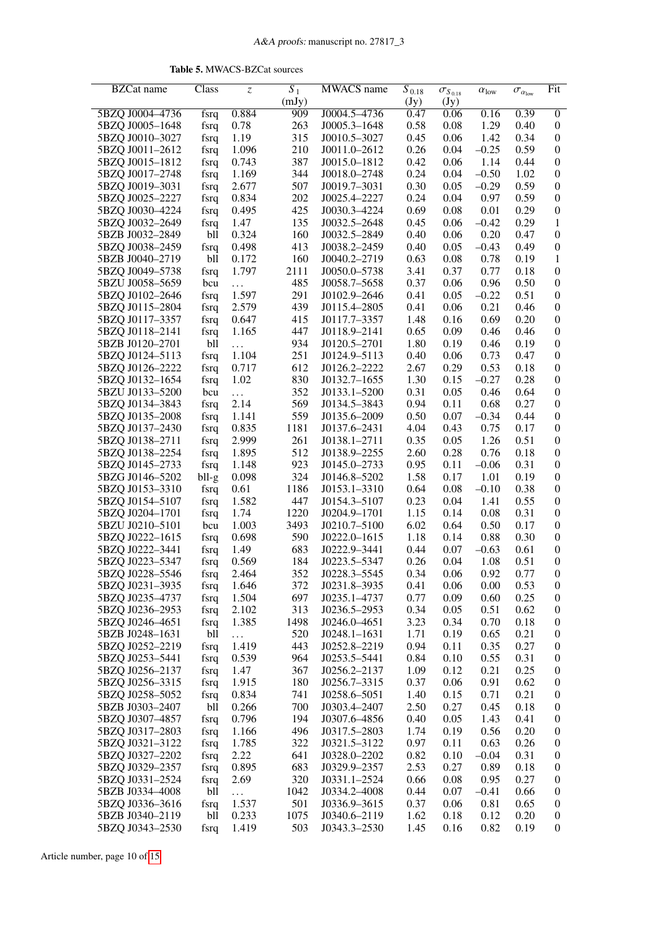| <b>Table 5. MWACS-BZCat sources</b> |  |
|-------------------------------------|--|
|-------------------------------------|--|

<span id="page-9-0"></span>

| <b>BZCat</b> name | Class   | $\mathcal{Z}$ | $\overline{S_1}$ | <b>MWACS</b> name | $\overline{S}_{0.18}$ | $\sigma_{S_{\,0.18}}$ | $\alpha_{\text{low}}$ | $\sigma_{\alpha_{\text{low}}}$ | Fit              |
|-------------------|---------|---------------|------------------|-------------------|-----------------------|-----------------------|-----------------------|--------------------------------|------------------|
|                   |         |               | (mJy)            |                   | (Jy)                  | (Jy)                  |                       |                                |                  |
| 5BZQ J0004-4736   | fsrq    | 0.884         | 909              | J0004.5-4736      | 0.47                  | 0.06                  | 0.16                  | 0.39                           | $\boldsymbol{0}$ |
| 5BZQ J0005-1648   | fsrq    | 0.78          | 263              | J0005.3-1648      | 0.58                  | 0.08                  | 1.29                  | 0.40                           | $\boldsymbol{0}$ |
| 5BZQ J0010-3027   | fsrq    | 1.19          | 315              | J0010.5-3027      | 0.45                  | 0.06                  | 1.42                  | 0.34                           | $\boldsymbol{0}$ |
| 5BZQ J0011-2612   | fsrq    | 1.096         | 210              | J0011.0-2612      | 0.26                  | 0.04                  | $-0.25$               | 0.59                           | $\boldsymbol{0}$ |
| 5BZQ J0015-1812   | fsrq    | 0.743         | 387              | J0015.0-1812      | 0.42                  | 0.06                  | 1.14                  | 0.44                           | $\boldsymbol{0}$ |
| 5BZQ J0017-2748   | fsrq    | 1.169         | 344              | J0018.0-2748      | 0.24                  | 0.04                  | $-0.50$               | 1.02                           | $\boldsymbol{0}$ |
| 5BZQ J0019-3031   | fsrq    | 2.677         | 507              | J0019.7-3031      | 0.30                  | 0.05                  | $-0.29$               | 0.59                           | $\boldsymbol{0}$ |
| 5BZQ J0025-2227   | fsrq    | 0.834         | 202              | J0025.4-2227      | 0.24                  | 0.04                  | 0.97                  | 0.59                           | $\boldsymbol{0}$ |
| 5BZQ J0030-4224   | fsrq    | 0.495         | 425              | J0030.3-4224      | 0.69                  | 0.08                  | 0.01                  | 0.29                           | $\boldsymbol{0}$ |
| 5BZQ J0032-2649   | fsrq    | 1.47          | 135              | J0032.5-2648      | 0.45                  | 0.06                  | $-0.42$               | 0.29                           | 1                |
| 5BZB J0032-2849   | bll     | 0.324         | 160              | J0032.5-2849      | 0.40                  | 0.06                  | 0.20                  | 0.47                           | $\boldsymbol{0}$ |
| 5BZQ J0038-2459   | fsrq    | 0.498         | 413              | J0038.2-2459      | 0.40                  | 0.05                  | $-0.43$               | 0.49                           | $\boldsymbol{0}$ |
| 5BZB J0040-2719   | bll     | 0.172         | 160              | J0040.2-2719      | 0.63                  | 0.08                  | 0.78                  | 0.19                           | 1                |
| 5BZQ J0049-5738   | fsrq    | 1.797         | 2111             | J0050.0-5738      | 3.41                  | 0.37                  | 0.77                  | 0.18                           | $\boldsymbol{0}$ |
| 5BZU J0058-5659   | bcu     | .             | 485              | J0058.7-5658      | 0.37                  | 0.06                  | 0.96                  | 0.50                           | $\boldsymbol{0}$ |
| 5BZQ J0102-2646   | fsrq    | 1.597         | 291              | J0102.9-2646      | 0.41                  | 0.05                  | $-0.22$               | 0.51                           | $\boldsymbol{0}$ |
| 5BZQ J0115-2804   | fsrq    | 2.579         | 439              | J0115.4-2805      | 0.41                  | 0.06                  | 0.21                  | 0.46                           | $\boldsymbol{0}$ |
| 5BZQ J0117-3357   | fsrq    | 0.647         | 415              | J0117.7-3357      | 1.48                  | 0.16                  | 0.69                  | 0.20                           | $\boldsymbol{0}$ |
| 5BZQ J0118-2141   | fsrq    | 1.165         | 447              | J0118.9-2141      | 0.65                  | 0.09                  | 0.46                  | 0.46                           | $\boldsymbol{0}$ |
| 5BZB J0120-2701   | bll     | .             | 934              | J0120.5-2701      | 1.80                  | 0.19                  | 0.46                  | 0.19                           | $\boldsymbol{0}$ |
| 5BZQ J0124-5113   | fsrq    | 1.104         | 251              | J0124.9-5113      | 0.40                  | 0.06                  | 0.73                  | 0.47                           | $\boldsymbol{0}$ |
| 5BZQ J0126-2222   | fsrq    | 0.717         | 612              | J0126.2-2222      | 2.67                  | 0.29                  | 0.53                  | 0.18                           | $\boldsymbol{0}$ |
| 5BZQ J0132-1654   | fsrq    | 1.02          | 830              | J0132.7-1655      | 1.30                  | 0.15                  | $-0.27$               | 0.28                           | $\boldsymbol{0}$ |
| 5BZU J0133-5200   | bcu     | .             | 352              | J0133.1-5200      | 0.31                  | 0.05                  | 0.46                  | 0.64                           | $\boldsymbol{0}$ |
| 5BZQ J0134-3843   | fsrq    | 2.14          | 569              | J0134.5-3843      | 0.94                  | 0.11                  | 0.68                  | 0.27                           | $\boldsymbol{0}$ |
| 5BZQ J0135-2008   | fsrq    | 1.141         | 559              | J0135.6-2009      | 0.50                  | 0.07                  | $-0.34$               | 0.44                           | $\boldsymbol{0}$ |
| 5BZQ J0137-2430   | fsrq    | 0.835         | 1181             | J0137.6-2431      | 4.04                  | 0.43                  | 0.75                  | 0.17                           | $\boldsymbol{0}$ |
| 5BZQ J0138-2711   | fsrq    | 2.999         | 261              | J0138.1-2711      | 0.35                  | 0.05                  | 1.26                  | 0.51                           | $\boldsymbol{0}$ |
| 5BZQ J0138-2254   | fsrq    | 1.895         | 512              | J0138.9-2255      | 2.60                  | 0.28                  | 0.76                  | 0.18                           | $\boldsymbol{0}$ |
| 5BZQ J0145-2733   | fsrq    | 1.148         | 923              | J0145.0–2733      | 0.95                  | 0.11                  | $-0.06$               | 0.31                           | $\boldsymbol{0}$ |
| 5BZG J0146-5202   | $bll-g$ | 0.098         | 324              | J0146.8-5202      | 1.58                  | 0.17                  | 1.01                  | 0.19                           | $\boldsymbol{0}$ |
| 5BZQ J0153-3310   | fsrq    | 0.61          | 1186             | $J0153.1 - 3310$  | 0.64                  | 0.08                  | $-0.10$               | 0.38                           | $\boldsymbol{0}$ |
| 5BZQ J0154-5107   | fsrq    | 1.582         | 447              | J0154.3-5107      | 0.23                  | 0.04                  | 1.41                  | 0.55                           | $\boldsymbol{0}$ |
| 5BZQ J0204-1701   | fsrq    | 1.74          | 1220             | J0204.9-1701      | 1.15                  | 0.14                  | 0.08                  | 0.31                           | $\boldsymbol{0}$ |
| 5BZU J0210-5101   | bcu     | 1.003         | 3493             | J0210.7-5100      | 6.02                  | 0.64                  | 0.50                  | 0.17                           | $\boldsymbol{0}$ |
| 5BZQ J0222-1615   | fsrq    | 0.698         | 590              | J0222.0-1615      | 1.18                  | 0.14                  | 0.88                  | 0.30                           | $\boldsymbol{0}$ |
| 5BZQ J0222-3441   | fsrq    | 1.49          | 683              | J0222.9-3441      | 0.44                  | 0.07                  | $-0.63$               | 0.61                           | $\boldsymbol{0}$ |
| 5BZQ J0223-5347   | fsrq    | 0.569         | 184              | J0223.5-5347      | 0.26                  | 0.04                  | 1.08                  | 0.51                           | $\boldsymbol{0}$ |
| 5BZQ J0228-5546   | fsrq    | 2.464         | 352              | J0228.3-5545      | 0.34                  | 0.06                  | 0.92                  | 0.77                           | 0                |
| 5BZQ J0231-3935   | fsrq    | 1.646         | 372              | J0231.8-3935      | 0.41                  | 0.06                  | 0.00                  | 0.53                           | $\boldsymbol{0}$ |
| 5BZQ J0235-4737   | fsrq    | 1.504         | 697              | J0235.1-4737      | 0.77                  | 0.09                  | 0.60                  | 0.25                           | $\boldsymbol{0}$ |
| 5BZQ J0236-2953   | fsrq    | 2.102         | 313              | J0236.5-2953      | 0.34                  | 0.05                  | 0.51                  | 0.62                           | $\boldsymbol{0}$ |
| 5BZQ J0246-4651   | fsrq    | 1.385         | 1498             | J0246.0-4651      | 3.23                  | 0.34                  | 0.70                  | 0.18                           | $\boldsymbol{0}$ |
| 5BZB J0248-1631   | bll     | $\ldots$      | 520              | $J0248.1 - 1631$  | 1.71                  | 0.19                  | 0.65                  | 0.21                           | $\boldsymbol{0}$ |
| 5BZQ J0252-2219   | fsrq    | 1.419         | 443              | J0252.8-2219      | 0.94                  | 0.11                  | 0.35                  | 0.27                           | $\theta$         |
| 5BZQ J0253-5441   | fsrq    | 0.539         | 964              | J0253.5–5441      | 0.84                  | 0.10                  | 0.55                  | 0.31                           | $\boldsymbol{0}$ |
| 5BZQ J0256-2137   | fsrq    | 1.47          | 367              | J0256.2-2137      | 1.09                  | 0.12                  | 0.21                  | 0.25                           | $\boldsymbol{0}$ |
| 5BZQ J0256-3315   | fsrq    | 1.915         | 180              | J0256.7-3315      | 0.37                  | 0.06                  | 0.91                  | 0.62                           | $\boldsymbol{0}$ |
| 5BZQ J0258-5052   | fsrq    | 0.834         | 741              | J0258.6-5051      | 1.40                  | 0.15                  | 0.71                  | 0.21                           | $\boldsymbol{0}$ |
| 5BZB J0303-2407   | bll     | 0.266         | 700              | J0303.4-2407      | 2.50                  | 0.27                  | 0.45                  | 0.18                           | $\mathbf{0}$     |
| 5BZQ J0307-4857   | fsrq    | 0.796         | 194              | J0307.6-4856      | 0.40                  | 0.05                  | 1.43                  | 0.41                           | $\mathbf{0}$     |
| 5BZQ J0317-2803   | fsrq    | 1.166         | 496              | J0317.5-2803      | 1.74                  | 0.19                  | 0.56                  | 0.20                           | $\boldsymbol{0}$ |
| 5BZQ J0321-3122   | fsrq    | 1.785         | 322              | J0321.5-3122      | 0.97                  | 0.11                  | 0.63                  | 0.26                           | $\boldsymbol{0}$ |
| 5BZQ J0327-2202   | fsrq    | 2.22          | 641              | J0328.0-2202      | 0.82                  | 0.10                  | $-0.04$               | 0.31                           | $\boldsymbol{0}$ |
| 5BZQ J0329-2357   | fsrq    | 0.895         | 683              | J0329.9-2357      | 2.53                  | 0.27                  | 0.89                  | 0.18                           | $\boldsymbol{0}$ |
| 5BZQ J0331-2524   | fsrq    | 2.69          | 320              | J0331.1-2524      | 0.66                  | 0.08                  | 0.95                  | 0.27                           | $\boldsymbol{0}$ |
| 5BZB J0334-4008   | bll     | $\cdots$      | 1042             | J0334.2-4008      | 0.44                  | 0.07                  | $-0.41$               | 0.66                           | $\boldsymbol{0}$ |
| 5BZQ J0336-3616   | fsrq    | 1.537         | 501              | J0336.9-3615      | 0.37                  | 0.06                  | 0.81                  | 0.65                           | $\boldsymbol{0}$ |
| 5BZB J0340-2119   | bll     | 0.233         | 1075             | J0340.6-2119      | 1.62                  | 0.18                  | 0.12                  | 0.20                           | $\boldsymbol{0}$ |
| 5BZQ J0343-2530   | fsrq    | 1.419         | 503              | J0343.3-2530      | 1.45                  | 0.16                  | 0.82                  | 0.19                           | $\boldsymbol{0}$ |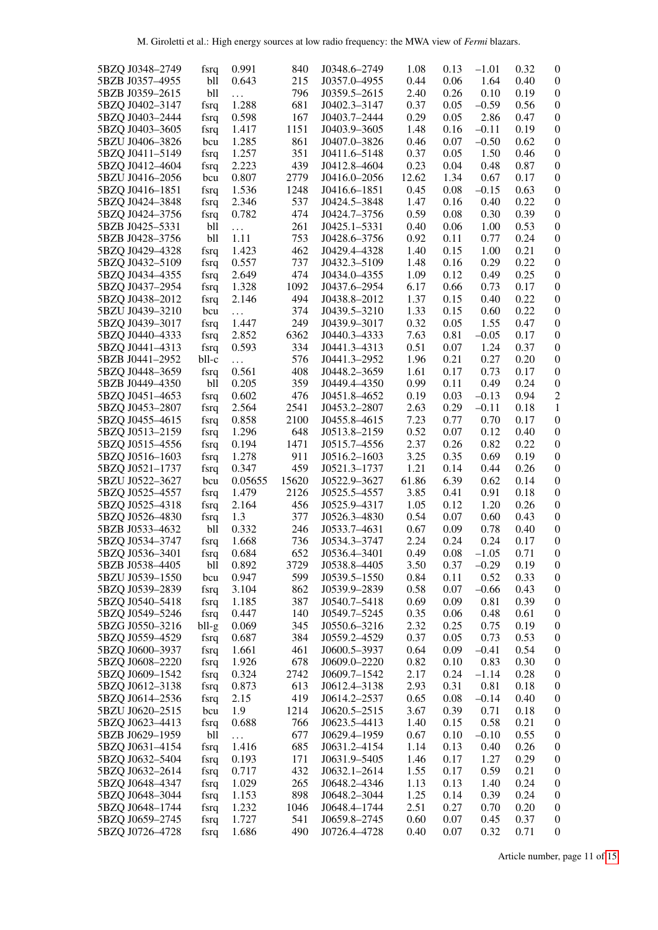| 5BZQ J0348-2749 | fsrq    | 0.991    | 840   | J0348.6-2749     | 1.08  | 0.13 | $-1.01$ | 0.32 | $\boldsymbol{0}$ |
|-----------------|---------|----------|-------|------------------|-------|------|---------|------|------------------|
| 5BZB J0357-4955 | bll     | 0.643    | 215   | J0357.0-4955     | 0.44  | 0.06 | 1.64    | 0.40 | $\boldsymbol{0}$ |
| 5BZB J0359-2615 | bll     | .        | 796   | $J0359.5 - 2615$ | 2.40  | 0.26 | 0.10    | 0.19 | $\boldsymbol{0}$ |
| 5BZQ J0402-3147 | fsrq    | 1.288    | 681   | J0402.3-3147     | 0.37  | 0.05 | $-0.59$ | 0.56 | $\boldsymbol{0}$ |
| 5BZQ J0403-2444 |         |          |       |                  | 0.29  |      |         |      |                  |
|                 | fsrq    | 0.598    | 167   | J0403.7-2444     |       | 0.05 | 2.86    | 0.47 | $\boldsymbol{0}$ |
| 5BZQ J0403-3605 | fsrq    | 1.417    | 1151  | J0403.9-3605     | 1.48  | 0.16 | $-0.11$ | 0.19 | $\boldsymbol{0}$ |
| 5BZU J0406-3826 | bcu     | 1.285    | 861   | J0407.0-3826     | 0.46  | 0.07 | $-0.50$ | 0.62 | $\boldsymbol{0}$ |
| 5BZQ J0411-5149 | fsrq    | 1.257    | 351   | J0411.6-5148     | 0.37  | 0.05 | 1.50    | 0.46 | $\boldsymbol{0}$ |
| 5BZQ J0412-4604 | fsrq    | 2.223    | 439   | J0412.8-4604     | 0.23  | 0.04 | 0.48    | 0.87 | $\boldsymbol{0}$ |
| 5BZU J0416-2056 | bcu     | 0.807    | 2779  | J0416.0-2056     | 12.62 | 1.34 | 0.67    | 0.17 | $\boldsymbol{0}$ |
| 5BZQ J0416-1851 | fsrq    | 1.536    | 1248  | J0416.6-1851     | 0.45  | 0.08 | $-0.15$ | 0.63 | $\boldsymbol{0}$ |
| 5BZQ J0424-3848 | fsrq    | 2.346    | 537   | J0424.5-3848     | 1.47  | 0.16 | 0.40    | 0.22 | $\boldsymbol{0}$ |
| 5BZQ J0424-3756 | fsrq    | 0.782    | 474   | J0424.7-3756     | 0.59  | 0.08 | 0.30    | 0.39 | $\boldsymbol{0}$ |
| 5BZB J0425-5331 | bll     | .        | 261   | $J0425.1 - 5331$ | 0.40  | 0.06 | 1.00    | 0.53 | $\boldsymbol{0}$ |
| 5BZB J0428-3756 | bll     | 1.11     | 753   | J0428.6-3756     | 0.92  | 0.11 | 0.77    | 0.24 | $\boldsymbol{0}$ |
|                 |         |          |       |                  |       |      |         | 0.21 |                  |
| 5BZQ J0429-4328 | fsrq    | 1.423    | 462   | J0429.4-4328     | 1.40  | 0.15 | 1.00    |      | $\boldsymbol{0}$ |
| 5BZQ J0432-5109 | fsrq    | 0.557    | 737   | J0432.3-5109     | 1.48  | 0.16 | 0.29    | 0.22 | $\boldsymbol{0}$ |
| 5BZQ J0434-4355 | fsrq    | 2.649    | 474   | J0434.0-4355     | 1.09  | 0.12 | 0.49    | 0.25 | $\boldsymbol{0}$ |
| 5BZQ J0437-2954 | fsrq    | 1.328    | 1092  | J0437.6-2954     | 6.17  | 0.66 | 0.73    | 0.17 | $\boldsymbol{0}$ |
| 5BZQ J0438-2012 | fsrq    | 2.146    | 494   | J0438.8-2012     | 1.37  | 0.15 | 0.40    | 0.22 | $\boldsymbol{0}$ |
| 5BZU J0439-3210 | bcu     | .        | 374   | J0439.5-3210     | 1.33  | 0.15 | 0.60    | 0.22 | $\boldsymbol{0}$ |
| 5BZQ J0439-3017 | fsrq    | 1.447    | 249   | J0439.9-3017     | 0.32  | 0.05 | 1.55    | 0.47 | $\boldsymbol{0}$ |
| 5BZQ J0440-4333 | fsrq    | 2.852    | 6362  | J0440.3-4333     | 7.63  | 0.81 | $-0.05$ | 0.17 | $\boldsymbol{0}$ |
| 5BZQ J0441-4313 | fsrq    | 0.593    | 334   | J0441.3-4313     | 0.51  | 0.07 | 1.24    | 0.37 | $\boldsymbol{0}$ |
| 5BZB J0441-2952 | bll-c   | .        | 576   | J0441.3-2952     | 1.96  | 0.21 | 0.27    | 0.20 | $\boldsymbol{0}$ |
| 5BZQ J0448-3659 | fsrq    | 0.561    | 408   | J0448.2-3659     | 1.61  | 0.17 | 0.73    | 0.17 | $\boldsymbol{0}$ |
| 5BZB J0449-4350 | bll     | 0.205    | 359   | J0449.4-4350     | 0.99  | 0.11 | 0.49    | 0.24 | $\boldsymbol{0}$ |
|                 |         |          |       |                  |       |      |         |      |                  |
| 5BZQ J0451-4653 | fsrq    | 0.602    | 476   | J0451.8-4652     | 0.19  | 0.03 | $-0.13$ | 0.94 | $\boldsymbol{2}$ |
| 5BZQ J0453-2807 | fsrq    | 2.564    | 2541  | J0453.2-2807     | 2.63  | 0.29 | $-0.11$ | 0.18 | $\mathbf{1}$     |
| 5BZQ J0455-4615 | fsrq    | 0.858    | 2100  | J0455.8-4615     | 7.23  | 0.77 | 0.70    | 0.17 | $\boldsymbol{0}$ |
| 5BZQ J0513-2159 | fsrq    | 1.296    | 648   | J0513.8-2159     | 0.52  | 0.07 | 0.12    | 0.40 | $\boldsymbol{0}$ |
| 5BZQ J0515-4556 | fsrq    | 0.194    | 1471  | J0515.7-4556     | 2.37  | 0.26 | 0.82    | 0.22 | $\boldsymbol{0}$ |
| 5BZQ J0516-1603 | fsrq    | 1.278    | 911   | $J0516.2 - 1603$ | 3.25  | 0.35 | 0.69    | 0.19 | $\boldsymbol{0}$ |
| 5BZQ J0521-1737 | fsrq    | 0.347    | 459   | J0521.3-1737     | 1.21  | 0.14 | 0.44    | 0.26 | $\boldsymbol{0}$ |
| 5BZU J0522-3627 | bcu     | 0.05655  | 15620 | J0522.9-3627     | 61.86 | 6.39 | 0.62    | 0.14 | $\boldsymbol{0}$ |
| 5BZQ J0525-4557 | fsrq    | 1.479    | 2126  | J0525.5-4557     | 3.85  | 0.41 | 0.91    | 0.18 | $\boldsymbol{0}$ |
| 5BZQ J0525-4318 | fsrq    | 2.164    | 456   | J0525.9-4317     | 1.05  | 0.12 | 1.20    | 0.26 | $\boldsymbol{0}$ |
| 5BZQ J0526-4830 | fsrq    | 1.3      | 377   | J0526.3-4830     | 0.54  | 0.07 | 0.60    | 0.43 | $\boldsymbol{0}$ |
| 5BZB J0533-4632 | bll     | 0.332    | 246   | J0533.7-4631     | 0.67  | 0.09 | 0.78    | 0.40 | $\boldsymbol{0}$ |
| 5BZQ J0534-3747 |         | 1.668    | 736   | J0534.3-3747     | 2.24  | 0.24 | 0.24    | 0.17 | $\boldsymbol{0}$ |
|                 | fsrq    |          |       |                  |       |      |         |      |                  |
| 5BZQ J0536-3401 | fsrq    | 0.684    | 652   | J0536.4-3401     | 0.49  | 0.08 | $-1.05$ | 0.71 | $\boldsymbol{0}$ |
| 5BZB J0538-4405 | bll     | 0.892    | 3729  | J0538.8-4405     | 3.50  | 0.37 | $-0.29$ | 0.19 | $\boldsymbol{0}$ |
| 5BZU J0539-1550 | bcu     | 0.947    | 599   | J0539.5-1550     | 0.84  | 0.11 | 0.52    | 0.33 | $\boldsymbol{0}$ |
| 5BZQ J0539-2839 | fsrq    | 3.104    | 862   | J0539.9-2839     | 0.58  | 0.07 | $-0.66$ | 0.43 | $\boldsymbol{0}$ |
| 5BZQ J0540-5418 | fsrq    | 1.185    | 387   | J0540.7-5418     | 0.69  | 0.09 | 0.81    | 0.39 | $\boldsymbol{0}$ |
| 5BZQ J0549-5246 | fsrq    | 0.447    | 140   | J0549.7-5245     | 0.35  | 0.06 | 0.48    | 0.61 | $\boldsymbol{0}$ |
| 5BZG J0550-3216 | $bll-g$ | 0.069    | 345   | J0550.6-3216     | 2.32  | 0.25 | 0.75    | 0.19 | $\boldsymbol{0}$ |
| 5BZQ J0559-4529 | fsrq    | 0.687    | 384   | J0559.2-4529     | 0.37  | 0.05 | 0.73    | 0.53 | $\boldsymbol{0}$ |
| 5BZQ J0600-3937 | fsrq    | 1.661    | 461   | J0600.5-3937     | 0.64  | 0.09 | $-0.41$ | 0.54 | $\boldsymbol{0}$ |
| 5BZQ J0608-2220 | fsrq    | 1.926    | 678   | J0609.0-2220     | 0.82  | 0.10 | 0.83    | 0.30 | $\boldsymbol{0}$ |
| 5BZQ J0609-1542 | fsrq    | 0.324    | 2742  | $J0609.7 - 1542$ | 2.17  | 0.24 | $-1.14$ | 0.28 | $\boldsymbol{0}$ |
| 5BZQ J0612-3138 | fsrq    | 0.873    | 613   | J0612.4-3138     | 2.93  | 0.31 | 0.81    | 0.18 | $\boldsymbol{0}$ |
| 5BZQ J0614-2536 |         | 2.15     | 419   | J0614.2-2537     | 0.65  | 0.08 | $-0.14$ | 0.40 | $\boldsymbol{0}$ |
|                 | fsrq    |          |       |                  |       |      |         |      |                  |
| 5BZU J0620-2515 | bcu     | 1.9      | 1214  | $J0620.5 - 2515$ | 3.67  | 0.39 | 0.71    | 0.18 | $\boldsymbol{0}$ |
| 5BZQ J0623-4413 | fsrq    | 0.688    | 766   | J0623.5-4413     | 1.40  | 0.15 | 0.58    | 0.21 | $\boldsymbol{0}$ |
| 5BZB J0629-1959 | bll     | $\ldots$ | 677   | J0629.4-1959     | 0.67  | 0.10 | $-0.10$ | 0.55 | $\boldsymbol{0}$ |
| 5BZQ J0631-4154 | fsrq    | 1.416    | 685   | J0631.2-4154     | 1.14  | 0.13 | 0.40    | 0.26 | $\boldsymbol{0}$ |
| 5BZQ J0632-5404 | fsrq    | 0.193    | 171   | J0631.9-5405     | 1.46  | 0.17 | 1.27    | 0.29 | $\boldsymbol{0}$ |
| 5BZQ J0632-2614 | fsrq    | 0.717    | 432   | $J0632.1 - 2614$ | 1.55  | 0.17 | 0.59    | 0.21 | $\boldsymbol{0}$ |
| 5BZQ J0648-4347 | fsrq    | 1.029    | 265   | J0648.2-4346     | 1.13  | 0.13 | 1.40    | 0.24 | $\boldsymbol{0}$ |
| 5BZQ J0648-3044 | fsrq    | 1.153    | 898   | J0648.2-3044     | 1.25  | 0.14 | 0.39    | 0.24 | $\boldsymbol{0}$ |
| 5BZQ J0648-1744 | fsrq    | 1.232    | 1046  | J0648.4-1744     | 2.51  | 0.27 | 0.70    | 0.20 | $\boldsymbol{0}$ |
| 5BZQ J0659-2745 | fsrq    | 1.727    | 541   | J0659.8-2745     | 0.60  | 0.07 | 0.45    | 0.37 | $\boldsymbol{0}$ |
| 5BZQ J0726-4728 | fsrq    | 1.686    | 490   | J0726.4-4728     | 0.40  | 0.07 | 0.32    | 0.71 | $\boldsymbol{0}$ |
|                 |         |          |       |                  |       |      |         |      |                  |

Article number, page 11 of [15](#page-0-0)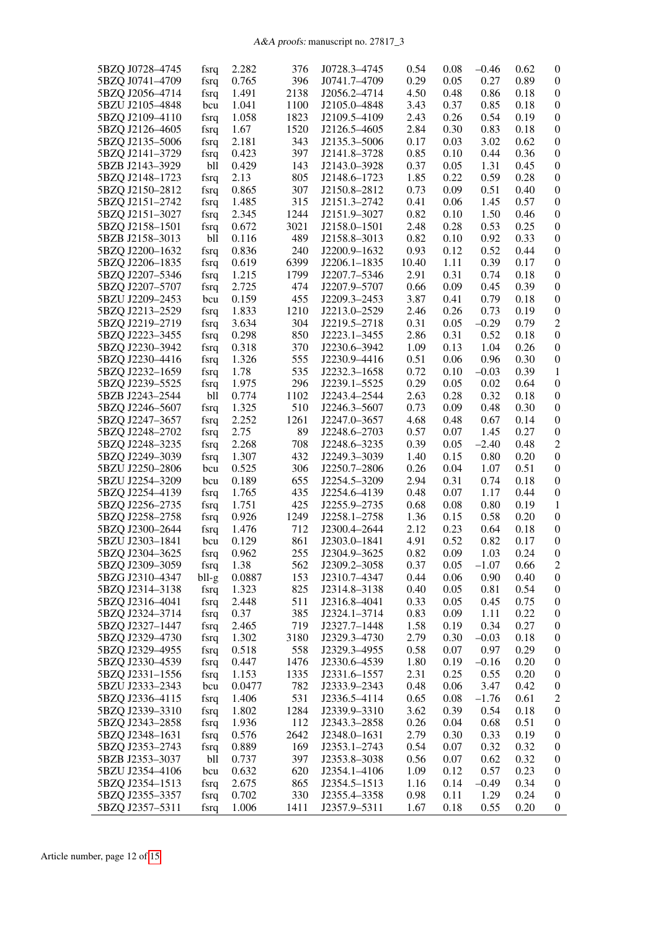A&A proofs: manuscript no. 27817\_3

| 5BZQ J0728-4745 | fsrq    | 2.282  | 376  | J0728.3-4745     | 0.54  | 0.08 | $-0.46$ | 0.62 | $\boldsymbol{0}$        |
|-----------------|---------|--------|------|------------------|-------|------|---------|------|-------------------------|
| 5BZQ J0741-4709 | fsrq    | 0.765  | 396  | J0741.7-4709     | 0.29  | 0.05 | 0.27    | 0.89 | $\boldsymbol{0}$        |
| 5BZQ J2056-4714 | fsrq    | 1.491  | 2138 | J2056.2-4714     | 4.50  | 0.48 | 0.86    | 0.18 | $\boldsymbol{0}$        |
| 5BZU J2105-4848 | bcu     | 1.041  | 1100 | J2105.0–4848     | 3.43  | 0.37 | 0.85    | 0.18 | $\boldsymbol{0}$        |
| 5BZQ J2109-4110 | fsrq    | 1.058  | 1823 | J2109.5-4109     | 2.43  | 0.26 | 0.54    | 0.19 | $\boldsymbol{0}$        |
| 5BZQ J2126-4605 |         | 1.67   | 1520 | J2126.5-4605     | 2.84  | 0.30 | 0.83    | 0.18 | $\boldsymbol{0}$        |
| 5BZQ J2135-5006 | fsrq    | 2.181  | 343  | J2135.3-5006     | 0.17  | 0.03 | 3.02    | 0.62 | $\boldsymbol{0}$        |
|                 | fsrq    |        | 397  |                  |       |      |         |      |                         |
| 5BZQ J2141-3729 | fsrq    | 0.423  |      | J2141.8-3728     | 0.85  | 0.10 | 0.44    | 0.36 | $\boldsymbol{0}$        |
| 5BZB J2143-3929 | bll     | 0.429  | 143  | J2143.0-3928     | 0.37  | 0.05 | 1.31    | 0.45 | $\boldsymbol{0}$        |
| 5BZQ J2148-1723 | fsrq    | 2.13   | 805  | J2148.6-1723     | 1.85  | 0.22 | 0.59    | 0.28 | $\boldsymbol{0}$        |
| 5BZQ J2150-2812 | fsrq    | 0.865  | 307  | J2150.8-2812     | 0.73  | 0.09 | 0.51    | 0.40 | $\boldsymbol{0}$        |
| 5BZQ J2151-2742 | fsrq    | 1.485  | 315  | J2151.3-2742     | 0.41  | 0.06 | 1.45    | 0.57 | $\boldsymbol{0}$        |
| 5BZQ J2151-3027 | fsrq    | 2.345  | 1244 | J2151.9-3027     | 0.82  | 0.10 | 1.50    | 0.46 | $\boldsymbol{0}$        |
| 5BZQ J2158-1501 | fsrq    | 0.672  | 3021 | J2158.0-1501     | 2.48  | 0.28 | 0.53    | 0.25 | $\boldsymbol{0}$        |
| 5BZB J2158-3013 | bll     | 0.116  | 489  | J2158.8-3013     | 0.82  | 0.10 | 0.92    | 0.33 | $\boldsymbol{0}$        |
| 5BZQ J2200-1632 | fsrq    | 0.836  | 240  | J2200.9-1632     | 0.93  | 0.12 | 0.52    | 0.44 | $\boldsymbol{0}$        |
| 5BZQ J2206-1835 | fsrq    | 0.619  | 6399 | $J2206.1 - 1835$ | 10.40 | 1.11 | 0.39    | 0.17 | $\boldsymbol{0}$        |
| 5BZQ J2207-5346 | fsrq    | 1.215  | 1799 | J2207.7-5346     | 2.91  | 0.31 | 0.74    | 0.18 | $\boldsymbol{0}$        |
| 5BZQ J2207-5707 | fsrq    | 2.725  | 474  | J2207.9-5707     | 0.66  | 0.09 | 0.45    | 0.39 | $\boldsymbol{0}$        |
| 5BZU J2209-2453 | bcu     | 0.159  | 455  | J2209.3-2453     | 3.87  | 0.41 | 0.79    | 0.18 | $\boldsymbol{0}$        |
| 5BZQ J2213-2529 | fsrq    | 1.833  | 1210 | J2213.0-2529     | 2.46  | 0.26 | 0.73    | 0.19 | $\boldsymbol{0}$        |
| 5BZQ J2219-2719 | fsrq    | 3.634  | 304  | J2219.5-2718     | 0.31  | 0.05 | $-0.29$ | 0.79 | 2                       |
| 5BZQ J2223-3455 | fsrq    | 0.298  | 850  | J2223.1-3455     | 2.86  | 0.31 | 0.52    | 0.18 | $\boldsymbol{0}$        |
| 5BZQ J2230-3942 | fsrq    | 0.318  | 370  | J2230.6-3942     | 1.09  | 0.13 | 1.04    | 0.26 | $\boldsymbol{0}$        |
| 5BZQ J2230-4416 | fsrq    | 1.326  | 555  | J2230.9-4416     | 0.51  | 0.06 | 0.96    | 0.30 | $\boldsymbol{0}$        |
| 5BZQ J2232-1659 | fsrq    | 1.78   | 535  | J2232.3-1658     | 0.72  | 0.10 | $-0.03$ | 0.39 | 1                       |
| 5BZQ J2239-5525 | fsrq    | 1.975  | 296  | J2239.1-5525     | 0.29  | 0.05 | 0.02    | 0.64 | $\boldsymbol{0}$        |
| 5BZB J2243-2544 | bll     | 0.774  | 1102 | J2243.4-2544     | 2.63  | 0.28 | 0.32    | 0.18 | $\boldsymbol{0}$        |
| 5BZQ J2246-5607 | fsrq    | 1.325  | 510  | J2246.3–5607     | 0.73  | 0.09 | 0.48    | 0.30 | $\boldsymbol{0}$        |
| 5BZQ J2247-3657 | fsrq    | 2.252  | 1261 | J2247.0-3657     | 4.68  | 0.48 | 0.67    | 0.14 | $\boldsymbol{0}$        |
| 5BZQ J2248-2702 | fsrq    | 2.75   | 89   | J2248.6-2703     | 0.57  | 0.07 | 1.45    | 0.27 | $\boldsymbol{0}$        |
| 5BZQ J2248-3235 | fsrq    | 2.268  | 708  | J2248.6-3235     | 0.39  | 0.05 | $-2.40$ | 0.48 | $\overline{c}$          |
| 5BZQ J2249-3039 |         | 1.307  | 432  |                  | 1.40  | 0.15 | 0.80    | 0.20 | $\boldsymbol{0}$        |
|                 | fsrq    | 0.525  | 306  | J2249.3-3039     | 0.26  | 0.04 | 1.07    | 0.51 |                         |
| 5BZU J2250-2806 | bcu     |        |      | J2250.7-2806     |       |      |         |      | $\boldsymbol{0}$        |
| 5BZU J2254-3209 | bcu     | 0.189  | 655  | J2254.5-3209     | 2.94  | 0.31 | 0.74    | 0.18 | $\boldsymbol{0}$        |
| 5BZQ J2254-4139 | fsrq    | 1.765  | 435  | J2254.6-4139     | 0.48  | 0.07 | 1.17    | 0.44 | $\boldsymbol{0}$        |
| 5BZQ J2256-2735 | fsrq    | 1.751  | 425  | J2255.9-2735     | 0.68  | 0.08 | 0.80    | 0.19 | 1                       |
| 5BZQ J2258-2758 | fsrq    | 0.926  | 1249 | J2258.1-2758     | 1.36  | 0.15 | 0.58    | 0.20 | $\boldsymbol{0}$        |
| 5BZQ J2300-2644 | fsrq    | 1.476  | 712  | J2300.4-2644     | 2.12  | 0.23 | 0.64    | 0.18 | $\boldsymbol{0}$        |
| 5BZU J2303-1841 | bcu     | 0.129  | 861  | J2303.0-1841     | 4.91  | 0.52 | 0.82    | 0.17 | $\boldsymbol{0}$        |
| 5BZQ J2304-3625 | fsrq    | 0.962  | 255  | J2304.9-3625     | 0.82  | 0.09 | 1.03    | 0.24 | $\boldsymbol{0}$        |
| 5BZQ J2309-3059 | fsrq    | 1.38   | 562  | J2309.2-3058     | 0.37  | 0.05 | $-1.07$ | 0.66 | $\overline{\mathbf{c}}$ |
| 5BZG J2310-4347 | $bll-g$ | 0.0887 | 153  | J2310.7-4347     | 0.44  | 0.06 | 0.90    | 0.40 | 0                       |
| 5BZQ J2314-3138 | fsrq    | 1.323  | 825  | J2314.8-3138     | 0.40  | 0.05 | 0.81    | 0.54 | $\boldsymbol{0}$        |
| 5BZQ J2316-4041 | fsrq    | 2.448  | 511  | J2316.8-4041     | 0.33  | 0.05 | 0.45    | 0.75 | $\boldsymbol{0}$        |
| 5BZQ J2324-3714 | fsrq    | 0.37   | 385  | J2324.1-3714     | 0.83  | 0.09 | 1.11    | 0.22 | $\boldsymbol{0}$        |
| 5BZQ J2327-1447 | fsrq    | 2.465  | 719  | J2327.7-1448     | 1.58  | 0.19 | 0.34    | 0.27 | $\boldsymbol{0}$        |
| 5BZQ J2329-4730 | fsrq    | 1.302  | 3180 | J2329.3-4730     | 2.79  | 0.30 | $-0.03$ | 0.18 | $\boldsymbol{0}$        |
| 5BZQ J2329-4955 | fsrq    | 0.518  | 558  | J2329.3-4955     | 0.58  | 0.07 | 0.97    | 0.29 | $\boldsymbol{0}$        |
| 5BZQ J2330-4539 | fsrq    | 0.447  | 1476 | J2330.6-4539     | 1.80  | 0.19 | $-0.16$ | 0.20 | $\boldsymbol{0}$        |
| 5BZQ J2331-1556 | fsrq    | 1.153  | 1335 | J2331.6–1557     | 2.31  | 0.25 | 0.55    | 0.20 | $\boldsymbol{0}$        |
| 5BZU J2333-2343 | bcu     | 0.0477 | 782  | J2333.9-2343     | 0.48  | 0.06 | 3.47    | 0.42 | $\boldsymbol{0}$        |
| 5BZQ J2336-4115 | fsrq    | 1.406  | 531  | J2336.5-4114     | 0.65  | 0.08 | $-1.76$ | 0.61 | $\overline{c}$          |
| 5BZQ J2339-3310 | fsrq    | 1.802  | 1284 | J2339.9-3310     | 3.62  | 0.39 | 0.54    | 0.18 | 0                       |
| 5BZQ J2343-2858 | fsrq    | 1.936  | 112  | J2343.3-2858     | 0.26  | 0.04 | 0.68    | 0.51 | $\boldsymbol{0}$        |
| 5BZQ J2348-1631 | fsrq    | 0.576  | 2642 | J2348.0-1631     | 2.79  | 0.30 | 0.33    | 0.19 | $\boldsymbol{0}$        |
| 5BZQ J2353-2743 | fsrq    | 0.889  | 169  | J2353.1-2743     | 0.54  | 0.07 | 0.32    | 0.32 | $\boldsymbol{0}$        |
| 5BZB J2353-3037 | bll     | 0.737  | 397  | J2353.8-3038     | 0.56  | 0.07 | 0.62    | 0.32 | $\boldsymbol{0}$        |
| 5BZU J2354-4106 | bcu     | 0.632  | 620  | J2354.1-4106     | 1.09  | 0.12 | 0.57    | 0.23 | $\boldsymbol{0}$        |
| 5BZQ J2354-1513 | fsrq    | 2.675  | 865  | $J2354.5 - 1513$ | 1.16  | 0.14 | $-0.49$ | 0.34 | $\boldsymbol{0}$        |
| 5BZQ J2355-3357 | fsrq    | 0.702  | 330  | J2355.4-3358     | 0.98  | 0.11 | 1.29    | 0.24 | 0                       |
| 5BZQ J2357-5311 | fsrq    | 1.006  | 1411 | J2357.9-5311     | 1.67  | 0.18 | 0.55    | 0.20 | $\boldsymbol{0}$        |
|                 |         |        |      |                  |       |      |         |      |                         |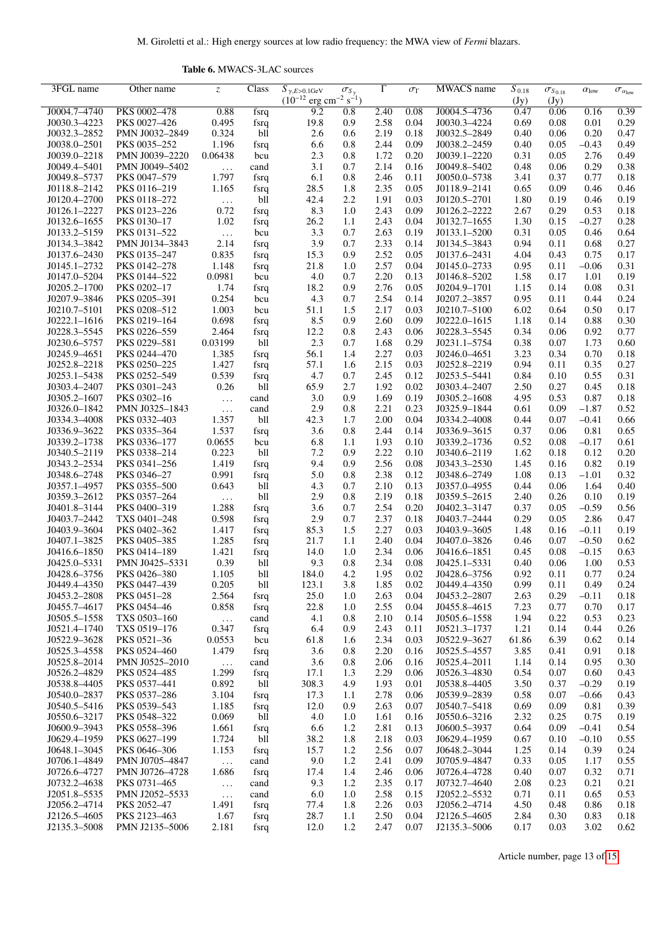<span id="page-12-0"></span>

| 3FGL name                    | Other name                   | $\mathcal{Z}$     | Class        |                                                                                    |            | Г            | $\sigma_{\Gamma}$ | <b>MWACS</b> name            | $\overline{S}_{0.18}$ | $\sigma_{S_{0.18}}$ | $\alpha_{\text{low}}$ | $\sigma_{\alpha_{\text{low}}}$ |
|------------------------------|------------------------------|-------------------|--------------|------------------------------------------------------------------------------------|------------|--------------|-------------------|------------------------------|-----------------------|---------------------|-----------------------|--------------------------------|
|                              |                              |                   |              | $S_{\gamma,E>0.1$ GeV<br>(10 <sup>-12</sup> erg cm <sup>-2</sup> s <sup>-1</sup> ) |            |              |                   |                              | (Jy)                  | (Jy)                |                       |                                |
| J0004.7-4740                 | PKS 0002-478                 | 0.88              | fsrq         | 9.2                                                                                | 0.8        | 2.40         | 0.08              | J0004.5-4736                 | 0.47                  | 0.06                | 0.16                  | 0.39                           |
| J0030.3-4223                 | PKS 0027-426                 | 0.495             | fsrq         | 19.8                                                                               | 0.9        | 2.58         | 0.04              | J0030.3-4224                 | 0.69                  | 0.08                | 0.01                  | 0.29                           |
| J0032.3-2852                 | PMN J0032-2849               | 0.324             | bll          | 2.6                                                                                | 0.6        | 2.19         | 0.18              | J0032.5-2849                 | 0.40                  | 0.06                | 0.20                  | 0.47                           |
| J0038.0-2501                 | PKS 0035-252                 | 1.196             | fsrq         | 6.6                                                                                | 0.8        | 2.44         | 0.09              | J0038.2-2459                 | 0.40                  | 0.05                | $-0.43$               | 0.49                           |
| J0039.0-2218                 | PMN J0039-2220               | 0.06438           | bcu          | 2.3                                                                                | 0.8        | 1.72         | 0.20              | $J0039.1 - 2220$             | 0.31                  | 0.05                | 2.76                  | 0.49                           |
| J0049.4-5401                 | PMN J0049-5402               | $\ldots$          | cand         | 3.1                                                                                | 0.7        | 2.14         | 0.16              | J0049.8-5402                 | 0.48                  | 0.06                | 0.29                  | 0.38                           |
| J0049.8-5737                 | PKS 0047-579                 | 1.797             | fsrq         | 6.1                                                                                | 0.8        | 2.46         | 0.11              | J0050.0-5738                 | 3.41                  | 0.37                | 0.77                  | 0.18                           |
| J0118.8-2142                 | PKS 0116-219                 | 1.165             | fsrq         | 28.5                                                                               | 1.8        | 2.35         | 0.05              | J0118.9-2141                 | 0.65                  | 0.09                | 0.46                  | 0.46                           |
| J0120.4-2700                 | PKS 0118-272                 | $\ddotsc$         | bll          | 42.4                                                                               | 2.2        | 1.91         | 0.03              | J0120.5-2701                 | 1.80                  | 0.19                | 0.46                  | 0.19                           |
| J0126.1-2227                 | PKS 0123-226                 | 0.72              | fsrq         | 8.3                                                                                | 1.0        | 2.43         | 0.09              | J0126.2-2222                 | 2.67                  | 0.29                | 0.53                  | 0.18                           |
| J0132.6-1655                 | PKS 0130-17                  | 1.02              | fsrq         | 26.2                                                                               | 1.1        | 2.43         | 0.04              | J0132.7-1655                 | 1.30                  | 0.15                | $-0.27$               | 0.28                           |
| J0133.2-5159                 | PKS 0131-522                 | $\ddotsc$         | bcu          | 3.3                                                                                | 0.7        | 2.63         | 0.19              | J0133.1-5200                 | 0.31                  | 0.05                | 0.46                  | 0.64                           |
| J0134.3-3842                 | PMN J0134-3843               | 2.14              | fsrq         | 3.9                                                                                | 0.7        | 2.33         | 0.14              | J0134.5-3843                 | 0.94                  | 0.11                | 0.68                  | 0.27<br>0.17                   |
| J0137.6-2430<br>J0145.1-2732 | PKS 0135-247<br>PKS 0142-278 | 0.835<br>1.148    | fsrq         | 15.3                                                                               | 0.9<br>1.0 | 2.52<br>2.57 | 0.05<br>0.04      | J0137.6-2431<br>J0145.0-2733 | 4.04<br>0.95          | 0.43<br>0.11        | 0.75<br>$-0.06$       | 0.31                           |
| J0147.0-5204                 | PKS 0144-522                 | 0.0981            | fsrq<br>bcu  | 21.8<br>4.0                                                                        | 0.7        | 2.20         | 0.13              | J0146.8-5202                 | 1.58                  | 0.17                | 1.01                  | 0.19                           |
| J0205.2-1700                 | PKS 0202-17                  | 1.74              | fsrq         | 18.2                                                                               | 0.9        | 2.76         | 0.05              | J0204.9-1701                 | 1.15                  | 0.14                | 0.08                  | 0.31                           |
| J0207.9-3846                 | PKS 0205-391                 | 0.254             | bcu          | 4.3                                                                                | 0.7        | 2.54         | 0.14              | J0207.2-3857                 | 0.95                  | 0.11                | 0.44                  | 0.24                           |
| J0210.7-5101                 | PKS 0208-512                 | 1.003             | bcu          | 51.1                                                                               | 1.5        | 2.17         | 0.03              | J0210.7-5100                 | 6.02                  | 0.64                | 0.50                  | 0.17                           |
| $J0222.1 - 1616$             | PKS 0219-164                 | 0.698             | fsrq         | 8.5                                                                                | 0.9        | 2.60         | 0.09              | $J0222.0 - 1615$             | 1.18                  | 0.14                | 0.88                  | 0.30                           |
| J0228.3-5545                 | PKS 0226-559                 | 2.464             | fsrq         | 12.2                                                                               | 0.8        | 2.43         | 0.06              | J0228.3-5545                 | 0.34                  | 0.06                | 0.92                  | 0.77                           |
| J0230.6-5757                 | PKS 0229-581                 | 0.03199           | bll          | 2.3                                                                                | 0.7        | 1.68         | 0.29              | J0231.1-5754                 | 0.38                  | 0.07                | 1.73                  | 0.60                           |
| J0245.9-4651                 | PKS 0244-470                 | 1.385             | fsrq         | 56.1                                                                               | 1.4        | 2.27         | 0.03              | J0246.0-4651                 | 3.23                  | 0.34                | 0.70                  | 0.18                           |
| J0252.8-2218                 | PKS 0250-225                 | 1.427             | fsrq         | 57.1                                                                               | 1.6        | 2.15         | 0.03              | J0252.8-2219                 | 0.94                  | 0.11                | 0.35                  | 0.27                           |
| J0253.1-5438                 | PKS 0252-549                 | 0.539             | fsrq         | 4.7                                                                                | 0.7        | 2.45         | 0.12              | J0253.5-5441                 | 0.84                  | 0.10                | 0.55                  | 0.31                           |
| J0303.4-2407                 | PKS 0301-243                 | 0.26              | bll          | 65.9                                                                               | 2.7        | 1.92         | 0.02              | J0303.4-2407                 | 2.50                  | 0.27                | 0.45                  | 0.18                           |
| J0305.2-1607                 | PKS 0302-16                  | $\ddotsc$         | cand         | 3.0                                                                                | 0.9        | 1.69         | 0.19              | J0305.2-1608                 | 4.95                  | 0.53                | 0.87                  | 0.18                           |
| J0326.0-1842                 | PMN J0325-1843               | $\ddotsc$         | cand         | 2.9                                                                                | 0.8        | 2.21         | 0.23              | J0325.9-1844                 | 0.61                  | 0.09                | $-1.87$               | 0.52                           |
| J0334.3-4008                 | PKS 0332-403                 | 1.357             | bll          | 42.3                                                                               | 1.7        | 2.00         | 0.04              | J0334.2-4008                 | 0.44                  | 0.07                | $-0.41$               | 0.66                           |
| J0336.9-3622                 | PKS 0335-364                 | 1.537             | fsrq         | 3.6                                                                                | 0.8        | 2.44         | 0.14              | J0336.9-3615                 | 0.37                  | 0.06                | 0.81                  | 0.65                           |
| J0339.2-1738                 | PKS 0336-177                 | 0.0655            | bcu          | 6.8                                                                                | 1.1        | 1.93         | 0.10              | J0339.2-1736                 | 0.52                  | 0.08                | $-0.17$               | 0.61                           |
| J0340.5-2119                 | PKS 0338-214                 | 0.223             | bll          | 7.2                                                                                | 0.9        | 2.22         | 0.10              | J0340.6-2119                 | 1.62                  | 0.18                | 0.12                  | 0.20                           |
| J0343.2-2534                 | PKS 0341-256                 | 1.419             | fsrq         | 9.4                                                                                | 0.9        | 2.56         | 0.08              | $J0343.3 - 2530$             | 1.45                  | 0.16                | 0.82                  | 0.19                           |
| J0348.6-2748                 | PKS 0346-27                  | 0.991             | fsrq         | 5.0                                                                                | 0.8        | 2.38         | 0.12              | J0348.6-2749                 | 1.08                  | 0.13                | $-1.01$               | 0.32                           |
| J0357.1-4957                 | PKS 0355-500                 | 0.643             | bll          | 4.3                                                                                | 0.7        | 2.10         | 0.13              | J0357.0-4955                 | 0.44                  | 0.06                | 1.64                  | 0.40                           |
| J0359.3-2612                 | PKS 0357-264                 | $\ddotsc$         | bll          | 2.9                                                                                | 0.8        | 2.19         | 0.18              | J0359.5-2615                 | 2.40                  | 0.26                | 0.10                  | 0.19                           |
| J0401.8-3144                 | PKS 0400-319                 | 1.288             | fsrq         | 3.6                                                                                | 0.7        | 2.54         | 0.20              | J0402.3-3147                 | 0.37                  | 0.05                | $-0.59$               | 0.56                           |
| J0403.7-2442                 | TXS 0401-248                 | 0.598             | fsrq         | 2.9                                                                                | 0.7        | 2.37         | 0.18              | J0403.7-2444                 | 0.29                  | 0.05                | 2.86                  | 0.47                           |
| J0403.9-3604                 | PKS 0402-362                 | 1.417             | fsrq         | 85.3                                                                               | 1.5        | 2.27         | 0.03              | J0403.9-3605                 | 1.48                  | 0.16                | $-0.11$               | 0.19                           |
| J0407.1-3825                 | PKS 0405-385                 | 1.285             | fsrq         | 21.7                                                                               | 1.1        | 2.40         | 0.04              | J0407.0-3826                 | 0.46                  | 0.07                | $-0.50$               | 0.62                           |
| J0416.6-1850                 | PKS 0414-189                 | 1.421             | fsrq         | 14.0                                                                               | 1.0        | 2.34         | 0.06              | J0416.6-1851                 | 0.45                  | 0.08                | $-0.15$               | 0.63                           |
| J0425.0-5331                 | PMN J0425-5331               | 0.39              | bll          | 9.3                                                                                | 0.8        | 2.34         | 0.08              | J0425.1-5331                 | 0.40                  | 0.06                | 1.00                  | 0.53                           |
| J0428.6-3756                 | PKS 0426-380                 | 1.105             | bll          | 184.0                                                                              | 4.2        | 1.95         | 0.02              | J0428.6-3756                 | 0.92                  | 0.11                | 0.77                  | 0.24                           |
| J0449.4-4350                 | PKS 0447-439                 | 0.205             | bll          | 123.1                                                                              | 3.8        | 1.85         | 0.02              | J0449.4-4350                 | 0.99                  | 0.11                | 0.49                  | 0.24                           |
| J0453.2-2808                 | PKS 0451-28<br>PKS 0454-46   | 2.564             | fsrq         | 25.0                                                                               | 1.0        | 2.63         | 0.04              | J0453.2-2807                 | 2.63                  | 0.29                | $-0.11$               | 0.18                           |
| J0455.7-4617<br>J0505.5-1558 | TXS 0503-160                 | 0.858             | fsrq         | 22.8<br>4.1                                                                        | 1.0<br>0.8 | 2.55<br>2.10 | 0.04<br>0.14      | J0455.8-4615<br>J0505.6-1558 | 7.23<br>1.94          | 0.77<br>0.22        | 0.70<br>0.53          | 0.17<br>0.23                   |
| J0521.4-1740                 | TXS 0519-176                 | $\ldots$<br>0.347 | cand<br>fsrq | 6.4                                                                                | 0.9        | 2.43         | 0.11              | J0521.3-1737                 | 1.21                  | 0.14                | 0.44                  | 0.26                           |
| J0522.9-3628                 | PKS 0521-36                  | 0.0553            | bcu          | 61.8                                                                               | 1.6        | 2.34         | 0.03              | J0522.9-3627                 | 61.86                 | 6.39                | 0.62                  | 0.14                           |
| J0525.3-4558                 | PKS 0524-460                 | 1.479             | fsrq         | 3.6                                                                                | 0.8        | 2.20         | 0.16              | J0525.5-4557                 | 3.85                  | 0.41                | 0.91                  | 0.18                           |
| J0525.8-2014                 | PMN J0525-2010               | $\ldots$          | cand         | 3.6                                                                                | 0.8        | 2.06         | 0.16              | J0525.4-2011                 | 1.14                  | 0.14                | 0.95                  | 0.30                           |
| J0526.2-4829                 | PKS 0524-485                 | 1.299             | fsrq         | 17.1                                                                               | 1.3        | 2.29         | 0.06              | J0526.3-4830                 | 0.54                  | 0.07                | 0.60                  | 0.43                           |
| J0538.8-4405                 | PKS 0537-441                 | 0.892             | bll          | 308.3                                                                              | 4.9        | 1.93         | 0.01              | J0538.8-4405                 | 3.50                  | 0.37                | $-0.29$               | 0.19                           |
| J0540.0-2837                 | PKS 0537-286                 | 3.104             | fsrq         | 17.3                                                                               | 1.1        | 2.78         | 0.06              | J0539.9-2839                 | 0.58                  | 0.07                | $-0.66$               | 0.43                           |
| J0540.5-5416                 | PKS 0539-543                 | 1.185             | fsrq         | 12.0                                                                               | 0.9        | 2.63         | 0.07              | J0540.7-5418                 | 0.69                  | 0.09                | 0.81                  | 0.39                           |
| J0550.6-3217                 | PKS 0548-322                 | 0.069             | bll          | 4.0                                                                                | 1.0        | 1.61         | 0.16              | J0550.6-3216                 | 2.32                  | 0.25                | 0.75                  | 0.19                           |
| J0600.9-3943                 | PKS 0558-396                 | 1.661             | fsrq         | 6.6                                                                                | 1.2        | 2.81         | 0.13              | J0600.5-3937                 | 0.64                  | 0.09                | $-0.41$               | 0.54                           |
| J0629.4-1959                 | PKS 0627-199                 | 1.724             | bll          | 38.2                                                                               | 1.8        | 2.18         | 0.03              | J0629.4-1959                 | 0.67                  | 0.10                | $-0.10$               | 0.55                           |
| J0648.1-3045                 | PKS 0646-306                 | 1.153             | fsrq         | 15.7                                                                               | 1.2        | 2.56         | 0.07              | J0648.2-3044                 | 1.25                  | 0.14                | 0.39                  | 0.24                           |
| J0706.1-4849                 | PMN J0705-4847               | $\ldots$          | cand         | 9.0                                                                                | 1.2        | 2.41         | 0.09              | J0705.9-4847                 | 0.33                  | 0.05                | 1.17                  | 0.55                           |
| J0726.6–4727                 | PMN J0726-4728               | 1.686             | fsrq         | 17.4                                                                               | 1.4        | 2.46         | 0.06              | J0726.4-4728                 | 0.40                  | 0.07                | 0.32                  | 0.71                           |
| J0732.2-4638                 | PKS 0731-465                 | $\ddotsc$         | cand         | 9.3                                                                                | 1.2        | 2.35         | 0.17              | J0732.7-4640                 | 2.08                  | 0.23                | 0.21                  | 0.21                           |
| J2051.8-5535                 | PMN J2052-5533               | $\ddotsc$         | cand         | 6.0                                                                                | 1.0        | 2.58         | 0.15              | J2052.2-5532                 | 0.71                  | 0.11                | 0.65                  | 0.53                           |
| J2056.2-4714                 | PKS 2052-47                  | 1.491             | fsrq         | 77.4                                                                               | 1.8        | 2.26         | 0.03              | J2056.2-4714                 | 4.50                  | 0.48                | 0.86                  | 0.18                           |
| J2126.5-4605                 | PKS 2123-463                 | 1.67              | fsrq         | 28.7                                                                               | 1.1        | 2.50         | 0.04              | J2126.5-4605                 | 2.84                  | 0.30                | 0.83                  | 0.18                           |
| J2135.3-5008                 | PMN J2135-5006               | 2.181             | fsrq         | 12.0                                                                               | 1.2        | 2.47         | 0.07              | J2135.3-5006                 | 0.17                  | 0.03                | 3.02                  | 0.62                           |

Article number, page 13 of [15](#page-0-0)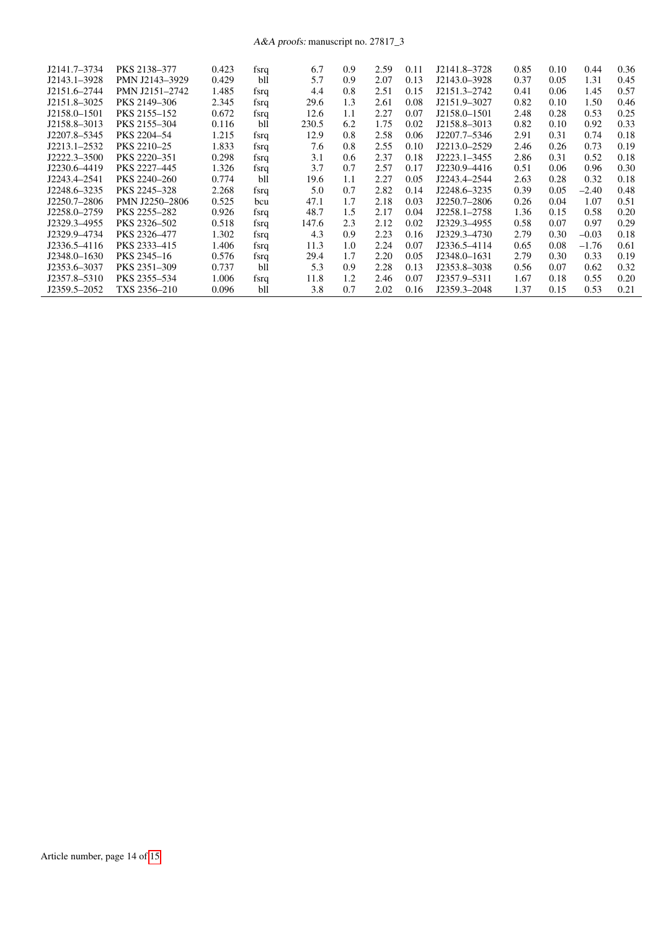A&A proofs: manuscript no. 27817\_3

| J2141.7-3734 | PKS 2138-377   | 0.423 | fsrq | 6.7   | 0.9 | 2.59 | 0.11 | J2141.8-3728 | 0.85 | 0.10 | 0.44    | 0.36 |
|--------------|----------------|-------|------|-------|-----|------|------|--------------|------|------|---------|------|
| J2143.1-3928 | PMN J2143-3929 | 0.429 | bll  | 5.7   | 0.9 | 2.07 | 0.13 | J2143.0-3928 | 0.37 | 0.05 | 1.31    | 0.45 |
| J2151.6-2744 | PMN J2151-2742 | 1.485 | fsrq | 4.4   | 0.8 | 2.51 | 0.15 | J2151.3-2742 | 0.41 | 0.06 | 1.45    | 0.57 |
| J2151.8-3025 | PKS 2149-306   | 2.345 | fsrq | 29.6  | 1.3 | 2.61 | 0.08 | J2151.9-3027 | 0.82 | 0.10 | 1.50    | 0.46 |
| J2158.0-1501 | PKS 2155-152   | 0.672 | fsrq | 12.6  | 1.1 | 2.27 | 0.07 | J2158.0-1501 | 2.48 | 0.28 | 0.53    | 0.25 |
| J2158.8-3013 | PKS 2155-304   | 0.116 | bll  | 230.5 | 6.2 | 1.75 | 0.02 | J2158.8-3013 | 0.82 | 0.10 | 0.92    | 0.33 |
| J2207.8–5345 | PKS 2204-54    | 1.215 | fsrq | 12.9  | 0.8 | 2.58 | 0.06 | J2207.7–5346 | 2.91 | 0.31 | 0.74    | 0.18 |
| J2213.1-2532 | PKS 2210-25    | 1.833 | fsrq | 7.6   | 0.8 | 2.55 | 0.10 | J2213.0-2529 | 2.46 | 0.26 | 0.73    | 0.19 |
| J2222.3-3500 | PKS 2220-351   | 0.298 | fsrq | 3.1   | 0.6 | 2.37 | 0.18 | J2223.1-3455 | 2.86 | 0.31 | 0.52    | 0.18 |
| J2230.6-4419 | PKS 2227-445   | 1.326 | fsrq | 3.7   | 0.7 | 2.57 | 0.17 | J2230.9-4416 | 0.51 | 0.06 | 0.96    | 0.30 |
| J2243.4-2541 | PKS 2240-260   | 0.774 | bll  | 19.6  | 1.1 | 2.27 | 0.05 | J2243.4-2544 | 2.63 | 0.28 | 0.32    | 0.18 |
| J2248.6–3235 | PKS 2245-328   | 2.268 | fsrq | 5.0   | 0.7 | 2.82 | 0.14 | J2248.6-3235 | 0.39 | 0.05 | $-2.40$ | 0.48 |
| J2250.7-2806 | PMN J2250-2806 | 0.525 | bcu  | 47.1  | 1.7 | 2.18 | 0.03 | J2250.7-2806 | 0.26 | 0.04 | 1.07    | 0.51 |
| J2258.0–2759 | PKS 2255-282   | 0.926 | fsrq | 48.7  | 1.5 | 2.17 | 0.04 | J2258.1-2758 | 1.36 | 0.15 | 0.58    | 0.20 |
| J2329.3-4955 | PKS 2326-502   | 0.518 | fsrq | 147.6 | 2.3 | 2.12 | 0.02 | J2329.3-4955 | 0.58 | 0.07 | 0.97    | 0.29 |
| J2329.9-4734 | PKS 2326-477   | 1.302 | fsrq | 4.3   | 0.9 | 2.23 | 0.16 | J2329.3–4730 | 2.79 | 0.30 | $-0.03$ | 0.18 |
| J2336.5-4116 | PKS 2333-415   | 1.406 | fsrq | 11.3  | 1.0 | 2.24 | 0.07 | J2336.5-4114 | 0.65 | 0.08 | $-1.76$ | 0.61 |
| J2348.0–1630 | PKS 2345-16    | 0.576 | fsrq | 29.4  | 1.7 | 2.20 | 0.05 | J2348.0-1631 | 2.79 | 0.30 | 0.33    | 0.19 |
| J2353.6-3037 | PKS 2351-309   | 0.737 | bll  | 5.3   | 0.9 | 2.28 | 0.13 | J2353.8-3038 | 0.56 | 0.07 | 0.62    | 0.32 |
| J2357.8-5310 | PKS 2355-534   | 1.006 | fsrq | 11.8  | 1.2 | 2.46 | 0.07 | J2357.9-5311 | 1.67 | 0.18 | 0.55    | 0.20 |
| J2359.5-2052 | TXS 2356-210   | 0.096 | bll  | 3.8   | 0.7 | 2.02 | 0.16 | J2359.3-2048 | 1.37 | 0.15 | 0.53    | 0.21 |